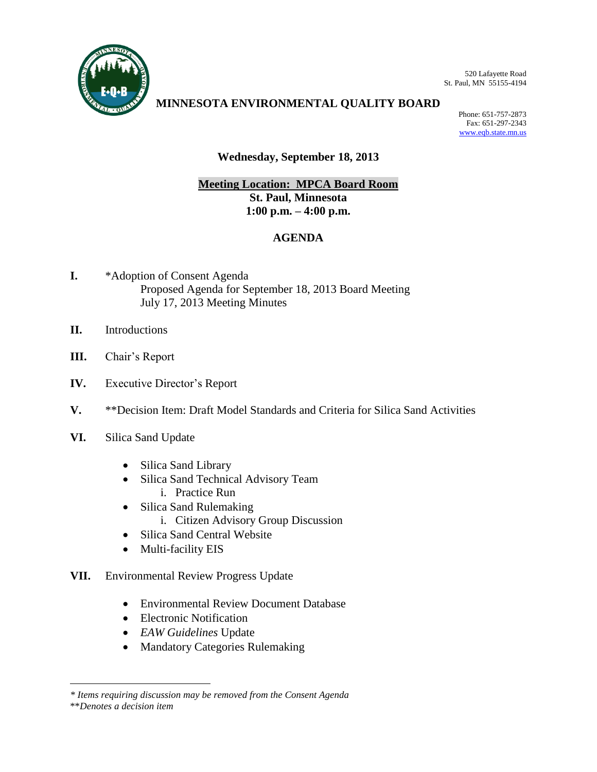

520 Lafayette Road St. Paul, MN 55155-4194

# **MINNESOTA ENVIRONMENTAL QUALITY BOARD**

Phone: 651-757-2873 Fax: 651-297-2343 [www.eqb.state.mn.us](http://www.eqb.state.mn.us/)

# **Wednesday, September 18, 2013**

# **Meeting Location: MPCA Board Room St. Paul, Minnesota 1:00 p.m. – 4:00 p.m.**

# **AGENDA**

- **I.** \*Adoption of Consent Agenda Proposed Agenda for September 18, 2013 Board Meeting July 17, 2013 Meeting Minutes
- **II.** Introductions
- **III.** Chair's Report
- **IV.** Executive Director's Report
- **V.** \*\*Decision Item: Draft Model Standards and Criteria for Silica Sand Activities
- **VI.** Silica Sand Update
	- Silica Sand Library
	- Silica Sand Technical Advisory Team i. Practice Run
		-
	- Silica Sand Rulemaking
		- i. Citizen Advisory Group Discussion
	- Silica Sand Central Website
	- Multi-facility EIS
- **VII.** Environmental Review Progress Update
	- Environmental Review Document Database
	- Electronic Notification
	- *EAW Guidelines* Update
	- Mandatory Categories Rulemaking

\*\**Denotes a decision item*

 $\overline{a}$ 

*<sup>\*</sup> Items requiring discussion may be removed from the Consent Agenda*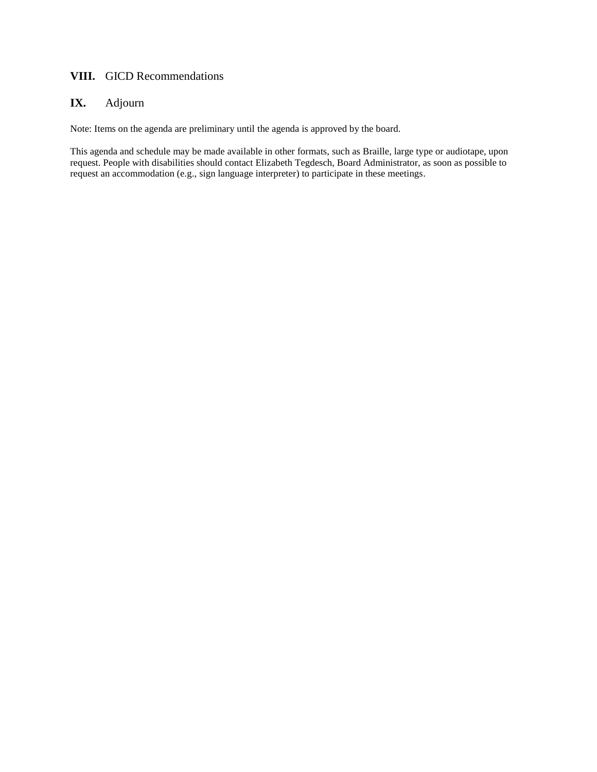## **VIII.** GICD Recommendations

# **IX.** Adjourn

Note: Items on the agenda are preliminary until the agenda is approved by the board.

This agenda and schedule may be made available in other formats, such as Braille, large type or audiotape, upon request. People with disabilities should contact Elizabeth Tegdesch, Board Administrator, as soon as possible to request an accommodation (e.g., sign language interpreter) to participate in these meetings.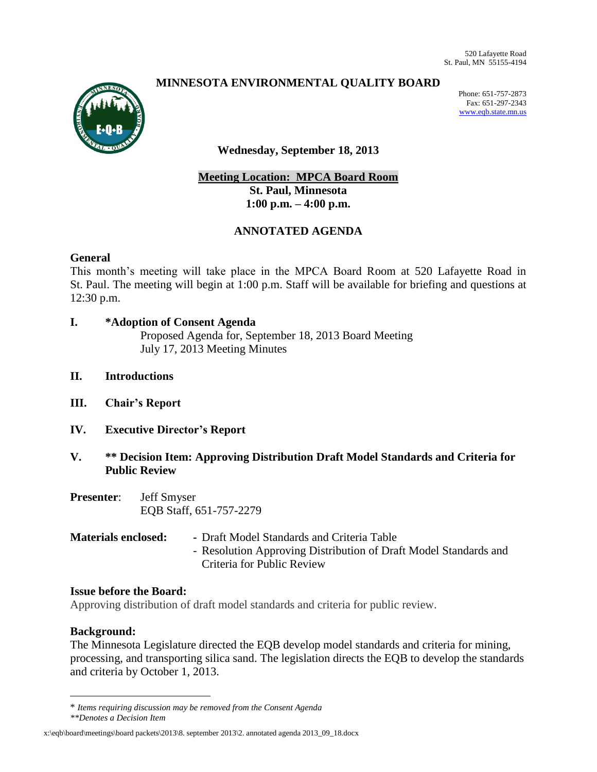# **MINNESOTA ENVIRONMENTAL QUALITY BOARD**



Phone: 651-757-2873 Fax: 651-297-2343 [www.eqb.state.mn.us](http://www.eqb.state.mn.us/)

## **Wednesday, September 18, 2013**

# **Meeting Location: MPCA Board Room St. Paul, Minnesota 1:00 p.m. – 4:00 p.m.**

## **ANNOTATED AGENDA**

#### **General**

This month's meeting will take place in the MPCA Board Room at 520 Lafayette Road in St. Paul. The meeting will begin at 1:00 p.m. Staff will be available for briefing and questions at 12:30 p.m.

- **I. \*Adoption of Consent Agenda** Proposed Agenda for, September 18, 2013 Board Meeting July 17, 2013 Meeting Minutes
- **II. Introductions**
- **III. Chair's Report**
- **IV. Executive Director's Report**
- **V. \*\* Decision Item: Approving Distribution Draft Model Standards and Criteria for Public Review**
- **Presenter**: Jeff Smyser EQB Staff, 651-757-2279
- **Materials enclosed: -** Draft Model Standards and Criteria Table - Resolution Approving Distribution of Draft Model Standards and Criteria for Public Review

#### **Issue before the Board:**

Approving distribution of draft model standards and criteria for public review.

#### **Background:**

 $\overline{a}$ 

The Minnesota Legislature directed the EQB develop model standards and criteria for mining, processing, and transporting silica sand. The legislation directs the EQB to develop the standards and criteria by October 1, 2013.

<sup>\*</sup> *Items requiring discussion may be removed from the Consent Agenda*

*<sup>\*\*</sup>Denotes a Decision Item*

x:\eqb\board\meetings\board packets\2013\8. september 2013\2. annotated agenda 2013\_09\_18.docx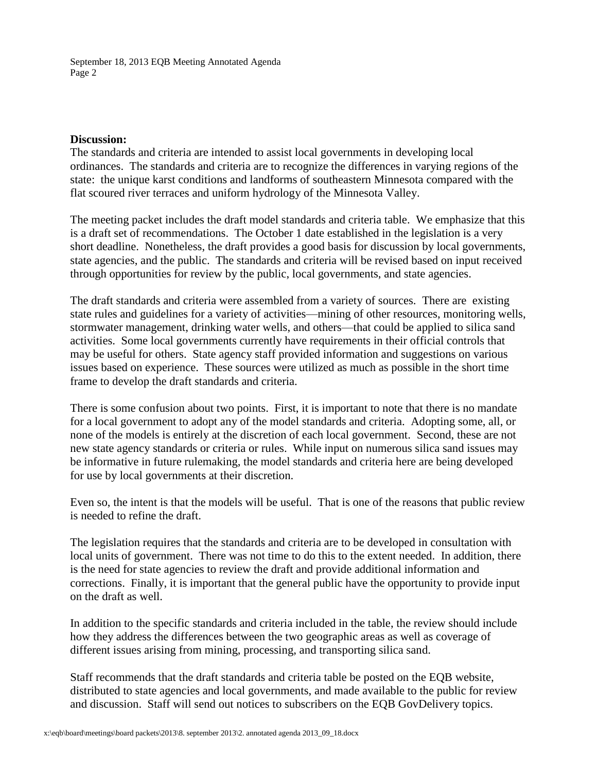#### **Discussion:**

The standards and criteria are intended to assist local governments in developing local ordinances. The standards and criteria are to recognize the differences in varying regions of the state: the unique karst conditions and landforms of southeastern Minnesota compared with the flat scoured river terraces and uniform hydrology of the Minnesota Valley.

The meeting packet includes the draft model standards and criteria table. We emphasize that this is a draft set of recommendations. The October 1 date established in the legislation is a very short deadline. Nonetheless, the draft provides a good basis for discussion by local governments, state agencies, and the public. The standards and criteria will be revised based on input received through opportunities for review by the public, local governments, and state agencies.

The draft standards and criteria were assembled from a variety of sources. There are existing state rules and guidelines for a variety of activities—mining of other resources, monitoring wells, stormwater management, drinking water wells, and others—that could be applied to silica sand activities. Some local governments currently have requirements in their official controls that may be useful for others. State agency staff provided information and suggestions on various issues based on experience. These sources were utilized as much as possible in the short time frame to develop the draft standards and criteria.

There is some confusion about two points. First, it is important to note that there is no mandate for a local government to adopt any of the model standards and criteria. Adopting some, all, or none of the models is entirely at the discretion of each local government. Second, these are not new state agency standards or criteria or rules. While input on numerous silica sand issues may be informative in future rulemaking, the model standards and criteria here are being developed for use by local governments at their discretion.

Even so, the intent is that the models will be useful. That is one of the reasons that public review is needed to refine the draft.

The legislation requires that the standards and criteria are to be developed in consultation with local units of government. There was not time to do this to the extent needed. In addition, there is the need for state agencies to review the draft and provide additional information and corrections. Finally, it is important that the general public have the opportunity to provide input on the draft as well.

In addition to the specific standards and criteria included in the table, the review should include how they address the differences between the two geographic areas as well as coverage of different issues arising from mining, processing, and transporting silica sand.

Staff recommends that the draft standards and criteria table be posted on the EQB website, distributed to state agencies and local governments, and made available to the public for review and discussion. Staff will send out notices to subscribers on the EQB GovDelivery topics.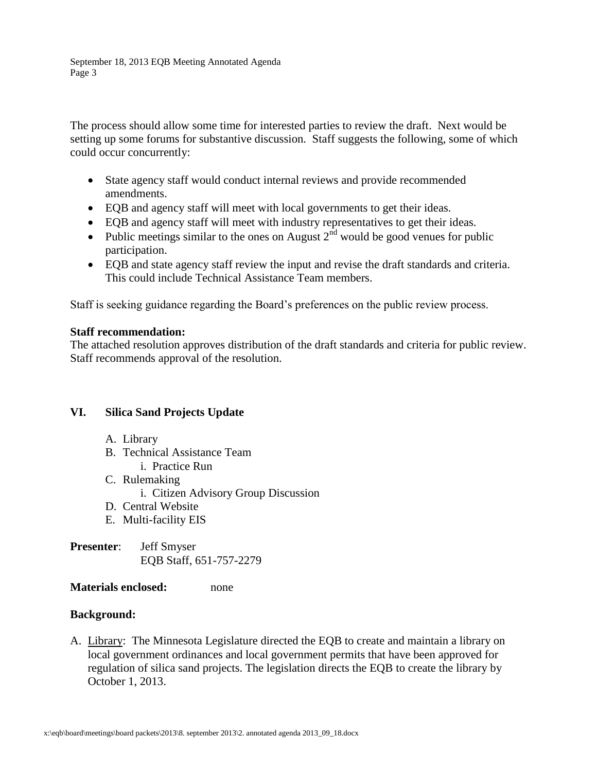The process should allow some time for interested parties to review the draft. Next would be setting up some forums for substantive discussion. Staff suggests the following, some of which could occur concurrently:

- State agency staff would conduct internal reviews and provide recommended amendments.
- EQB and agency staff will meet with local governments to get their ideas.
- EQB and agency staff will meet with industry representatives to get their ideas.
- Public meetings similar to the ones on August  $2<sup>nd</sup>$  would be good venues for public participation.
- EQB and state agency staff review the input and revise the draft standards and criteria. This could include Technical Assistance Team members.

Staff is seeking guidance regarding the Board's preferences on the public review process.

### **Staff recommendation:**

The attached resolution approves distribution of the draft standards and criteria for public review. Staff recommends approval of the resolution.

### **VI. Silica Sand Projects Update**

- A. Library
- B. Technical Assistance Team
	- i. Practice Run
- C. Rulemaking
	- i. Citizen Advisory Group Discussion
- D. Central Website
- E. Multi-facility EIS
- **Presenter**: Jeff Smyser EQB Staff, 651-757-2279

### **Materials enclosed:** none

### **Background:**

A. Library: The Minnesota Legislature directed the EQB to create and maintain a library on local government ordinances and local government permits that have been approved for regulation of silica sand projects. The legislation directs the EQB to create the library by October 1, 2013.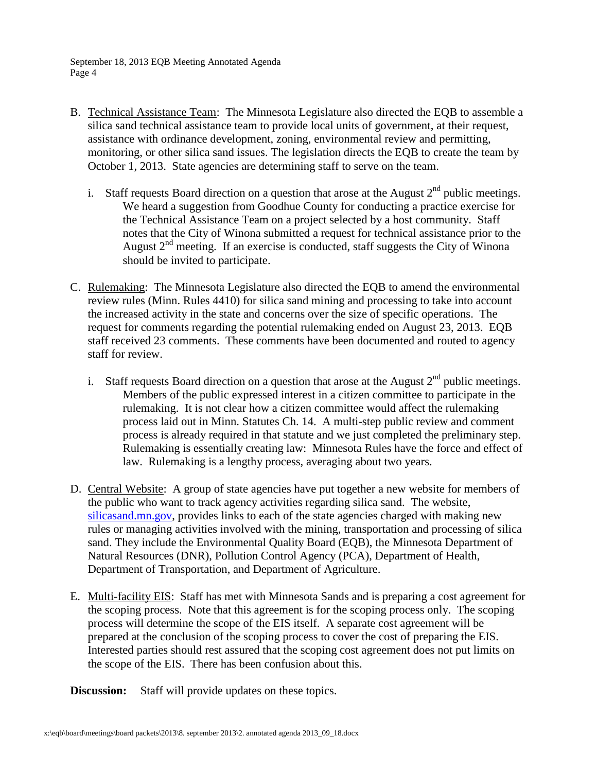- B. Technical Assistance Team: The Minnesota Legislature also directed the EQB to assemble a silica sand technical assistance team to provide local units of government, at their request, assistance with ordinance development, zoning, environmental review and permitting, monitoring, or other silica sand issues. The legislation directs the EQB to create the team by October 1, 2013. State agencies are determining staff to serve on the team.
	- i. Staff requests Board direction on a question that arose at the August  $2<sup>nd</sup>$  public meetings. We heard a suggestion from Goodhue County for conducting a practice exercise for the Technical Assistance Team on a project selected by a host community. Staff notes that the City of Winona submitted a request for technical assistance prior to the August  $2<sup>nd</sup>$  meeting. If an exercise is conducted, staff suggests the City of Winona should be invited to participate.
- C. Rulemaking: The Minnesota Legislature also directed the EQB to amend the environmental review rules (Minn. Rules 4410) for silica sand mining and processing to take into account the increased activity in the state and concerns over the size of specific operations. The request for comments regarding the potential rulemaking ended on August 23, 2013. EQB staff received 23 comments. These comments have been documented and routed to agency staff for review.
	- i. Staff requests Board direction on a question that arose at the August  $2<sup>nd</sup>$  public meetings. Members of the public expressed interest in a citizen committee to participate in the rulemaking. It is not clear how a citizen committee would affect the rulemaking process laid out in Minn. Statutes Ch. 14. A multi-step public review and comment process is already required in that statute and we just completed the preliminary step. Rulemaking is essentially creating law: Minnesota Rules have the force and effect of law. Rulemaking is a lengthy process, averaging about two years.
- D. Central Website: A group of state agencies have put together a new website for members of the public who want to track agency activities regarding silica sand. The website, [silicasand.mn.gov,](http://links.govdelivery.com/track?type=click&enid=ZWFzPTEmbWFpbGluZ2lkPTIwMTMwODE5LjIyMTAyMjUxJm1lc3NhZ2VpZD1NREItUFJELUJVTC0yMDEzMDgxOS4yMjEwMjI1MSZkYXRhYmFzZWlkPTEwMDEmc2VyaWFsPTE3NzM3MDU3JmVtYWlsaWQ9c2FtLmJydW5nYXJkdEBzdGF0ZS5tbi51cyZ1c2VyaWQ9c2FtLmJydW5nYXJkdEBzdGF0ZS5tbi51cyZmbD0mZXh0cmE9TXVsdGl2YXJpYXRlSWQ9JiYm&&&101&&&http://silicasand.mn.gov/) provides links to each of the state agencies charged with making new rules or managing activities involved with the mining, transportation and processing of silica sand. They include the Environmental Quality Board (EQB), the Minnesota Department of Natural Resources (DNR), Pollution Control Agency (PCA), Department of Health, Department of Transportation, and Department of Agriculture.
- E. Multi-facility EIS: Staff has met with Minnesota Sands and is preparing a cost agreement for the scoping process. Note that this agreement is for the scoping process only. The scoping process will determine the scope of the EIS itself. A separate cost agreement will be prepared at the conclusion of the scoping process to cover the cost of preparing the EIS. Interested parties should rest assured that the scoping cost agreement does not put limits on the scope of the EIS. There has been confusion about this.

**Discussion:** Staff will provide updates on these topics.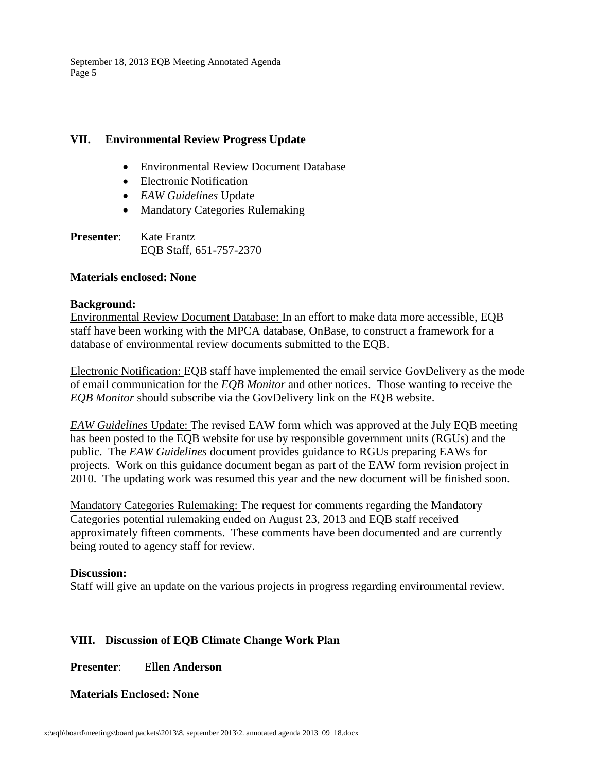### **VII. Environmental Review Progress Update**

- Environmental Review Document Database
- Electronic Notification
- *EAW Guidelines* Update
- Mandatory Categories Rulemaking
- **Presenter:** Kate Frantz EQB Staff, 651-757-2370

### **Materials enclosed: None**

#### **Background:**

Environmental Review Document Database: In an effort to make data more accessible, EQB staff have been working with the MPCA database, OnBase, to construct a framework for a database of environmental review documents submitted to the EQB.

Electronic Notification: EQB staff have implemented the email service GovDelivery as the mode of email communication for the *EQB Monitor* and other notices. Those wanting to receive the *EQB Monitor* should subscribe via the GovDelivery link on the EQB website.

*EAW Guidelines* Update: The revised EAW form which was approved at the July EQB meeting has been posted to the EQB website for use by responsible government units (RGUs) and the public. The *EAW Guidelines* document provides guidance to RGUs preparing EAWs for projects. Work on this guidance document began as part of the EAW form revision project in 2010. The updating work was resumed this year and the new document will be finished soon.

Mandatory Categories Rulemaking: The request for comments regarding the Mandatory Categories potential rulemaking ended on August 23, 2013 and EQB staff received approximately fifteen comments. These comments have been documented and are currently being routed to agency staff for review.

### **Discussion:**

Staff will give an update on the various projects in progress regarding environmental review.

# **VIII. Discussion of EQB Climate Change Work Plan**

**Presenter**: E**llen Anderson**

### **Materials Enclosed: None**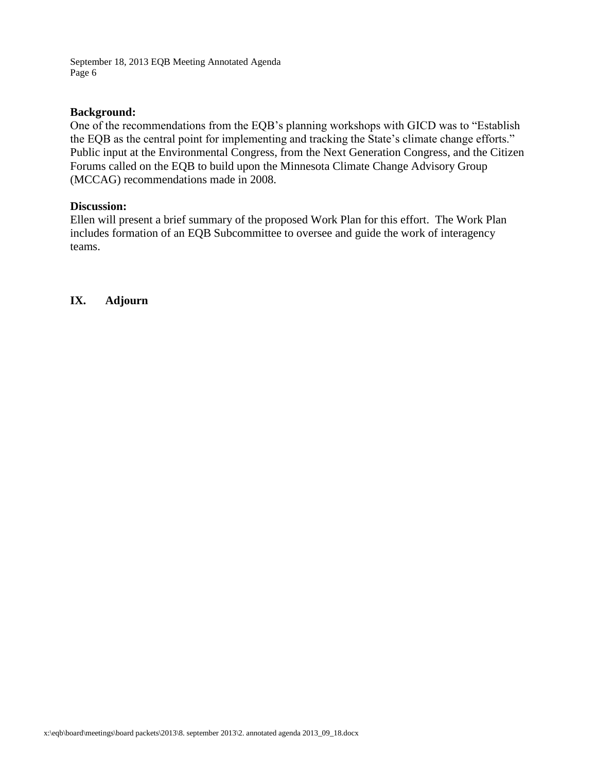### **Background:**

One of the recommendations from the EQB's planning workshops with GICD was to "Establish the EQB as the central point for implementing and tracking the State's climate change efforts." Public input at the Environmental Congress, from the Next Generation Congress, and the Citizen Forums called on the EQB to build upon the Minnesota Climate Change Advisory Group (MCCAG) recommendations made in 2008.

### **Discussion:**

Ellen will present a brief summary of the proposed Work Plan for this effort. The Work Plan includes formation of an EQB Subcommittee to oversee and guide the work of interagency teams.

**IX. Adjourn**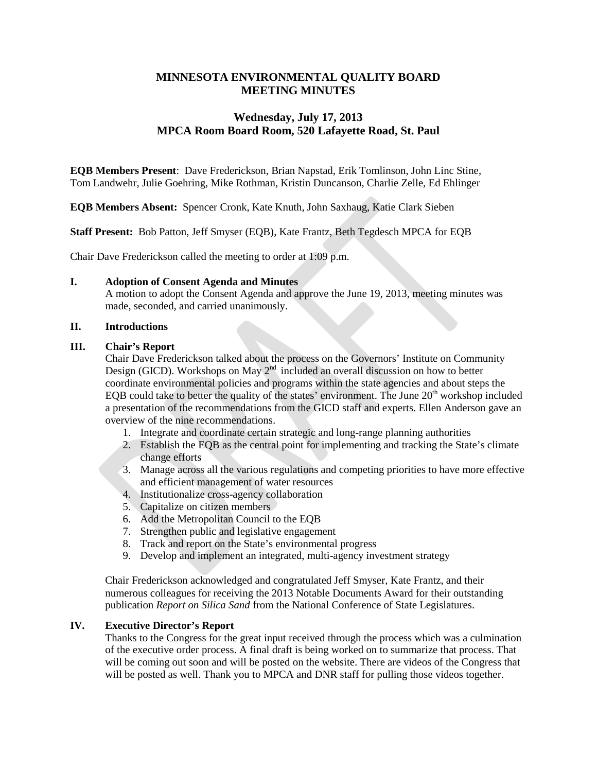### **MINNESOTA ENVIRONMENTAL QUALITY BOARD MEETING MINUTES**

### **Wednesday, July 17, 2013 MPCA Room Board Room, 520 Lafayette Road, St. Paul**

**EQB Members Present**: Dave Frederickson, Brian Napstad, Erik Tomlinson, John Linc Stine, Tom Landwehr, Julie Goehring, Mike Rothman, Kristin Duncanson, Charlie Zelle, Ed Ehlinger

**EQB Members Absent:** Spencer Cronk, Kate Knuth, John Saxhaug, Katie Clark Sieben

**Staff Present:** Bob Patton, Jeff Smyser (EQB), Kate Frantz, Beth Tegdesch MPCA for EQB

Chair Dave Frederickson called the meeting to order at 1:09 p.m.

#### **I. Adoption of Consent Agenda and Minutes**

A motion to adopt the Consent Agenda and approve the June 19, 2013, meeting minutes was made, seconded, and carried unanimously.

#### **II. Introductions**

#### **III. Chair's Report**

Chair Dave Frederickson talked about the process on the Governors' Institute on Community Design (GICD). Workshops on May  $2<sup>nd</sup>$  included an overall discussion on how to better coordinate environmental policies and programs within the state agencies and about steps the EQB could take to better the quality of the states' environment. The June  $20<sup>th</sup>$  workshop included a presentation of the recommendations from the GICD staff and experts. Ellen Anderson gave an overview of the nine recommendations.

- 1. Integrate and coordinate certain strategic and long-range planning authorities
- 2. Establish the EQB as the central point for implementing and tracking the State's climate change efforts
- 3. Manage across all the various regulations and competing priorities to have more effective and efficient management of water resources
- 4. Institutionalize cross-agency collaboration
- 5. Capitalize on citizen members
- 6. Add the Metropolitan Council to the EQB
- 7. Strengthen public and legislative engagement
- 8. Track and report on the State's environmental progress
- 9. Develop and implement an integrated, multi-agency investment strategy

Chair Frederickson acknowledged and congratulated Jeff Smyser, Kate Frantz, and their numerous colleagues for receiving the 2013 Notable Documents Award for their outstanding publication *Report on Silica Sand* from the National Conference of State Legislatures.

#### **IV. Executive Director's Report**

Thanks to the Congress for the great input received through the process which was a culmination of the executive order process. A final draft is being worked on to summarize that process. That will be coming out soon and will be posted on the website. There are videos of the Congress that will be posted as well. Thank you to MPCA and DNR staff for pulling those videos together.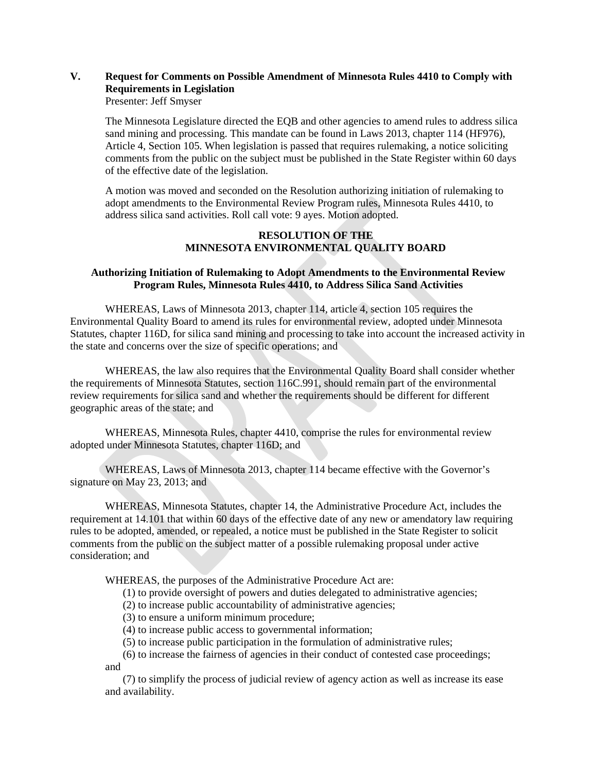# **V. Request for Comments on Possible Amendment of Minnesota Rules 4410 to Comply with Requirements in Legislation**

Presenter: Jeff Smyser

The Minnesota Legislature directed the EQB and other agencies to amend rules to address silica sand mining and processing. This mandate can be found in Laws 2013, chapter 114 (HF976), Article 4, Section 105. When legislation is passed that requires rulemaking, a notice soliciting comments from the public on the subject must be published in the State Register within 60 days of the effective date of the legislation.

A motion was moved and seconded on the Resolution authorizing initiation of rulemaking to adopt amendments to the Environmental Review Program rules, Minnesota Rules 4410, to address silica sand activities. Roll call vote: 9 ayes. Motion adopted.

#### **RESOLUTION OF THE MINNESOTA ENVIRONMENTAL QUALITY BOARD**

#### **Authorizing Initiation of Rulemaking to Adopt Amendments to the Environmental Review Program Rules, Minnesota Rules 4410, to Address Silica Sand Activities**

WHEREAS, Laws of Minnesota 2013, chapter 114, article 4, section 105 requires the Environmental Quality Board to amend its rules for environmental review, adopted under Minnesota Statutes, chapter 116D, for silica sand mining and processing to take into account the increased activity in the state and concerns over the size of specific operations; and

WHEREAS, the law also requires that the Environmental Quality Board shall consider whether the requirements of Minnesota Statutes, section 116C.991, should remain part of the environmental review requirements for silica sand and whether the requirements should be different for different geographic areas of the state; and

WHEREAS, Minnesota Rules, chapter 4410, comprise the rules for environmental review adopted under Minnesota Statutes, chapter 116D; and

WHEREAS, Laws of Minnesota 2013, chapter 114 became effective with the Governor's signature on May 23, 2013; and

WHEREAS, Minnesota Statutes, chapter 14, the Administrative Procedure Act, includes the requirement at 14.101 that within 60 days of the effective date of any new or amendatory law requiring rules to be adopted, amended, or repealed, a notice must be published in the State Register to solicit comments from the public on the subject matter of a possible rulemaking proposal under active consideration; and

WHEREAS, the purposes of the Administrative Procedure Act are:

(1) to provide oversight of powers and duties delegated to administrative agencies;

- (2) to increase public accountability of administrative agencies;
- (3) to ensure a uniform minimum procedure;
- (4) to increase public access to governmental information;
- (5) to increase public participation in the formulation of administrative rules;
- (6) to increase the fairness of agencies in their conduct of contested case proceedings; and

(7) to simplify the process of judicial review of agency action as well as increase its ease and availability.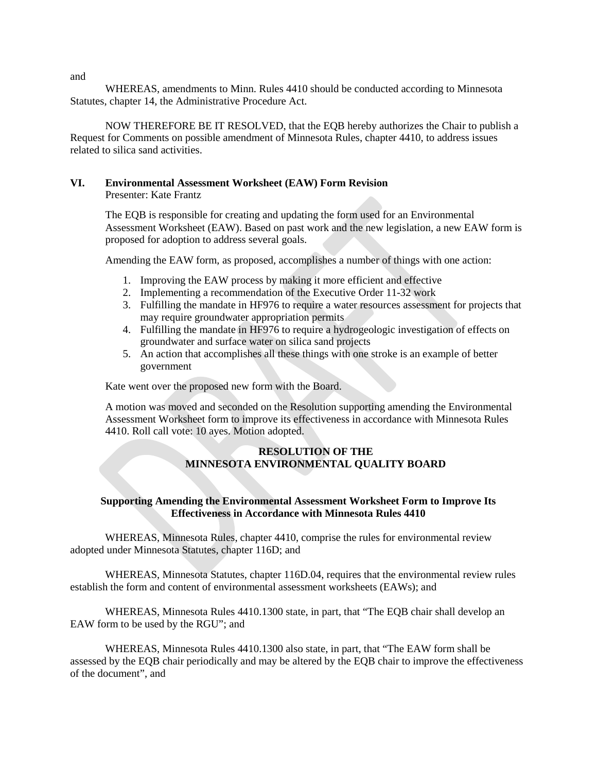WHEREAS, amendments to Minn. Rules 4410 should be conducted according to Minnesota Statutes, chapter 14, the Administrative Procedure Act.

NOW THEREFORE BE IT RESOLVED, that the EQB hereby authorizes the Chair to publish a Request for Comments on possible amendment of Minnesota Rules, chapter 4410, to address issues related to silica sand activities.

# **VI. Environmental Assessment Worksheet (EAW) Form Revision**

Presenter: Kate Frantz

The EQB is responsible for creating and updating the form used for an Environmental Assessment Worksheet (EAW). Based on past work and the new legislation, a new EAW form is proposed for adoption to address several goals.

Amending the EAW form, as proposed, accomplishes a number of things with one action:

- 1. Improving the EAW process by making it more efficient and effective
- 2. Implementing a recommendation of the Executive Order 11-32 work
- 3. Fulfilling the mandate in HF976 to require a water resources assessment for projects that may require groundwater appropriation permits
- 4. Fulfilling the mandate in HF976 to require a hydrogeologic investigation of effects on groundwater and surface water on silica sand projects
- 5. An action that accomplishes all these things with one stroke is an example of better government

Kate went over the proposed new form with the Board.

A motion was moved and seconded on the Resolution supporting amending the Environmental Assessment Worksheet form to improve its effectiveness in accordance with Minnesota Rules 4410. Roll call vote: 10 ayes. Motion adopted.

#### **RESOLUTION OF THE MINNESOTA ENVIRONMENTAL QUALITY BOARD**

#### **Supporting Amending the Environmental Assessment Worksheet Form to Improve Its Effectiveness in Accordance with Minnesota Rules 4410**

WHEREAS, Minnesota Rules, chapter 4410, comprise the rules for environmental review adopted under Minnesota Statutes, chapter 116D; and

WHEREAS, Minnesota Statutes, chapter 116D.04, requires that the environmental review rules establish the form and content of environmental assessment worksheets (EAWs); and

WHEREAS, Minnesota Rules 4410.1300 state, in part, that "The EQB chair shall develop an EAW form to be used by the RGU"; and

WHEREAS, Minnesota Rules 4410.1300 also state, in part, that "The EAW form shall be assessed by the EQB chair periodically and may be altered by the EQB chair to improve the effectiveness of the document", and

and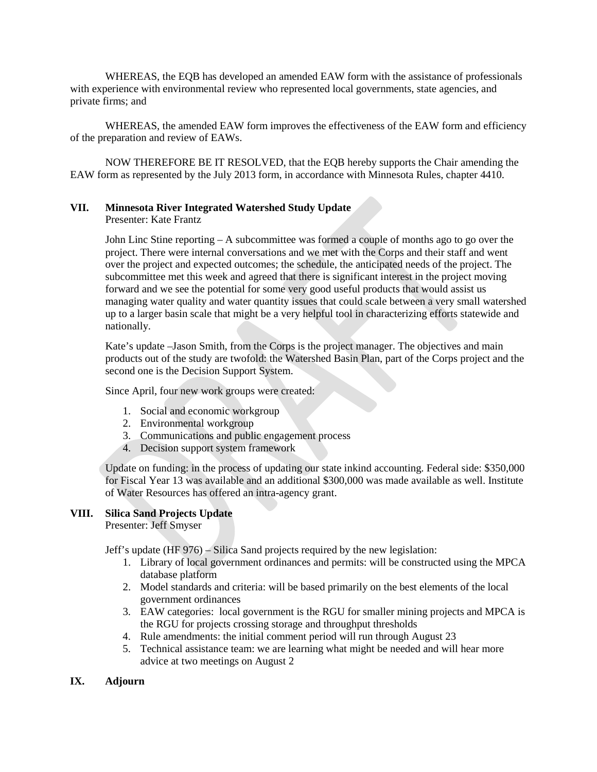WHEREAS, the EQB has developed an amended EAW form with the assistance of professionals with experience with environmental review who represented local governments, state agencies, and private firms; and

WHEREAS, the amended EAW form improves the effectiveness of the EAW form and efficiency of the preparation and review of EAWs.

NOW THEREFORE BE IT RESOLVED, that the EQB hereby supports the Chair amending the EAW form as represented by the July 2013 form, in accordance with Minnesota Rules, chapter 4410.

#### **VII. Minnesota River Integrated Watershed Study Update** Presenter: Kate Frantz

John Linc Stine reporting – A subcommittee was formed a couple of months ago to go over the project. There were internal conversations and we met with the Corps and their staff and went over the project and expected outcomes; the schedule, the anticipated needs of the project. The subcommittee met this week and agreed that there is significant interest in the project moving forward and we see the potential for some very good useful products that would assist us managing water quality and water quantity issues that could scale between a very small watershed up to a larger basin scale that might be a very helpful tool in characterizing efforts statewide and nationally.

Kate's update –Jason Smith, from the Corps is the project manager. The objectives and main products out of the study are twofold: the Watershed Basin Plan, part of the Corps project and the second one is the Decision Support System.

Since April, four new work groups were created:

- 1. Social and economic workgroup
- 2. Environmental workgroup
- 3. Communications and public engagement process
- 4. Decision support system framework

Update on funding: in the process of updating our state inkind accounting. Federal side: \$350,000 for Fiscal Year 13 was available and an additional \$300,000 was made available as well. Institute of Water Resources has offered an intra-agency grant.

#### **VIII. Silica Sand Projects Update**

Presenter: Jeff Smyser

Jeff's update (HF 976) – Silica Sand projects required by the new legislation:

- 1. Library of local government ordinances and permits: will be constructed using the MPCA database platform
- 2. Model standards and criteria: will be based primarily on the best elements of the local government ordinances
- 3. EAW categories: local government is the RGU for smaller mining projects and MPCA is the RGU for projects crossing storage and throughput thresholds
- 4. Rule amendments: the initial comment period will run through August 23
- 5. Technical assistance team: we are learning what might be needed and will hear more advice at two meetings on August 2
- **IX. Adjourn**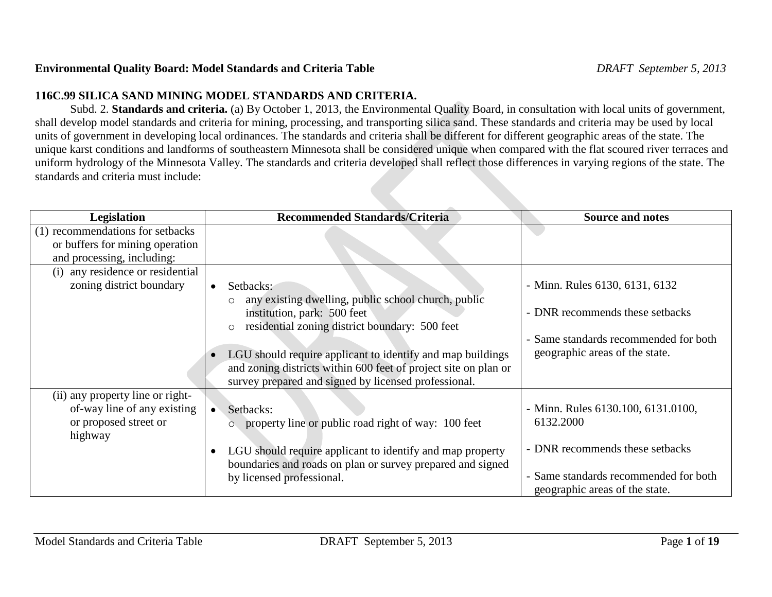# **Environmental Quality Board: Model Standards and Criteria Table** *DRAFT September 5, 2013*

# **116C.99 SILICA SAND MINING MODEL STANDARDS AND CRITERIA.**

Subd. 2. **Standards and criteria.** (a) By October 1, 2013, the Environmental Quality Board, in consultation with local units of government, shall develop model standards and criteria for mining, processing, and transporting silica sand. These standards and criteria may be used by local units of government in developing local ordinances. The standards and criteria shall be different for different geographic areas of the state. The unique karst conditions and landforms of southeastern Minnesota shall be considered unique when compared with the flat scoured river terraces and uniform hydrology of the Minnesota Valley. The standards and criteria developed shall reflect those differences in varying regions of the state. The standards and criteria must include:

| <b>Legislation</b>                  | <b>Recommended Standards/Criteria</b>                                  | <b>Source and notes</b>               |
|-------------------------------------|------------------------------------------------------------------------|---------------------------------------|
| (1) recommendations for setbacks    |                                                                        |                                       |
| or buffers for mining operation     |                                                                        |                                       |
| and processing, including:          |                                                                        |                                       |
| any residence or residential<br>(i) |                                                                        |                                       |
| zoning district boundary            | Setbacks:<br>$\bullet$                                                 | - Minn. Rules 6130, 6131, 6132        |
|                                     | any existing dwelling, public school church, public<br>$\circ$         |                                       |
|                                     | institution, park: 500 feet                                            | - DNR recommends these setbacks       |
|                                     | residential zoning district boundary: 500 feet<br>$\circ$              |                                       |
|                                     |                                                                        | - Same standards recommended for both |
|                                     | LGU should require applicant to identify and map buildings             | geographic areas of the state.        |
|                                     | and zoning districts within 600 feet of project site on plan or        |                                       |
|                                     | survey prepared and signed by licensed professional.                   |                                       |
| (ii) any property line or right-    |                                                                        |                                       |
| of-way line of any existing         | Setbacks:<br>$\bullet$                                                 | - Minn. Rules 6130.100, 6131.0100,    |
| or proposed street or               | property line or public road right of way: 100 feet<br>Ō.              | 6132.2000                             |
| highway                             |                                                                        |                                       |
|                                     | LGU should require applicant to identify and map property<br>$\bullet$ | - DNR recommends these setbacks       |
|                                     | boundaries and roads on plan or survey prepared and signed             |                                       |
|                                     | by licensed professional.                                              | - Same standards recommended for both |
|                                     |                                                                        | geographic areas of the state.        |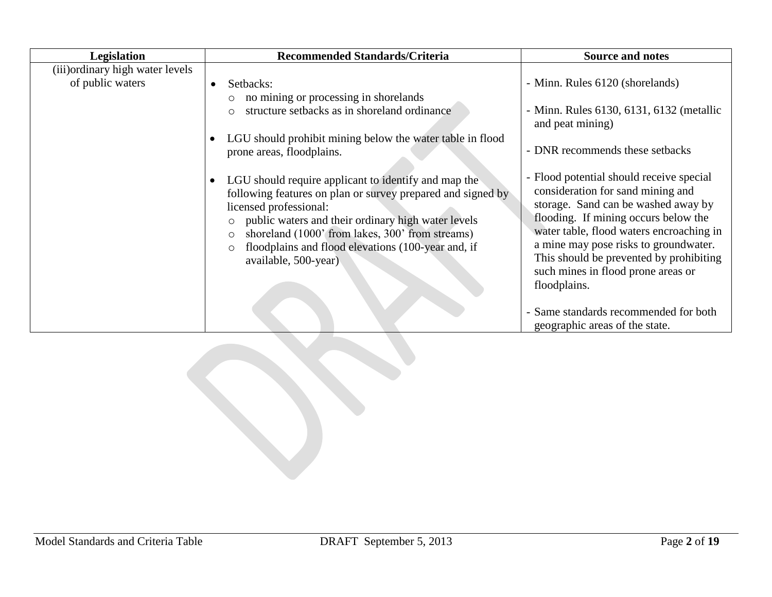| Legislation                                          | <b>Recommended Standards/Criteria</b>                                                                                                                                                                                                                                                                                                                                              | <b>Source and notes</b>                                                                                                                                                                                                                                                                                                                            |
|------------------------------------------------------|------------------------------------------------------------------------------------------------------------------------------------------------------------------------------------------------------------------------------------------------------------------------------------------------------------------------------------------------------------------------------------|----------------------------------------------------------------------------------------------------------------------------------------------------------------------------------------------------------------------------------------------------------------------------------------------------------------------------------------------------|
| (iii) ordinary high water levels<br>of public waters | Setbacks:<br>$\bullet$                                                                                                                                                                                                                                                                                                                                                             | - Minn. Rules 6120 (shorelands)                                                                                                                                                                                                                                                                                                                    |
|                                                      | no mining or processing in shorelands<br>O<br>structure setbacks as in shoreland ordinance<br>$\bigcirc$                                                                                                                                                                                                                                                                           | - Minn. Rules 6130, 6131, 6132 (metallic<br>and peat mining)                                                                                                                                                                                                                                                                                       |
|                                                      | LGU should prohibit mining below the water table in flood<br>$\bullet$<br>prone areas, floodplains.                                                                                                                                                                                                                                                                                | - DNR recommends these setbacks                                                                                                                                                                                                                                                                                                                    |
|                                                      | LGU should require applicant to identify and map the<br>$\bullet$<br>following features on plan or survey prepared and signed by<br>licensed professional:<br>public waters and their ordinary high water levels<br>$\circ$<br>shoreland (1000' from lakes, 300' from streams)<br>$\circ$<br>floodplains and flood elevations (100-year and, if<br>$\circ$<br>available, 500-year) | - Flood potential should receive special<br>consideration for sand mining and<br>storage. Sand can be washed away by<br>flooding. If mining occurs below the<br>water table, flood waters encroaching in<br>a mine may pose risks to groundwater.<br>This should be prevented by prohibiting<br>such mines in flood prone areas or<br>floodplains. |
|                                                      |                                                                                                                                                                                                                                                                                                                                                                                    | - Same standards recommended for both<br>geographic areas of the state.                                                                                                                                                                                                                                                                            |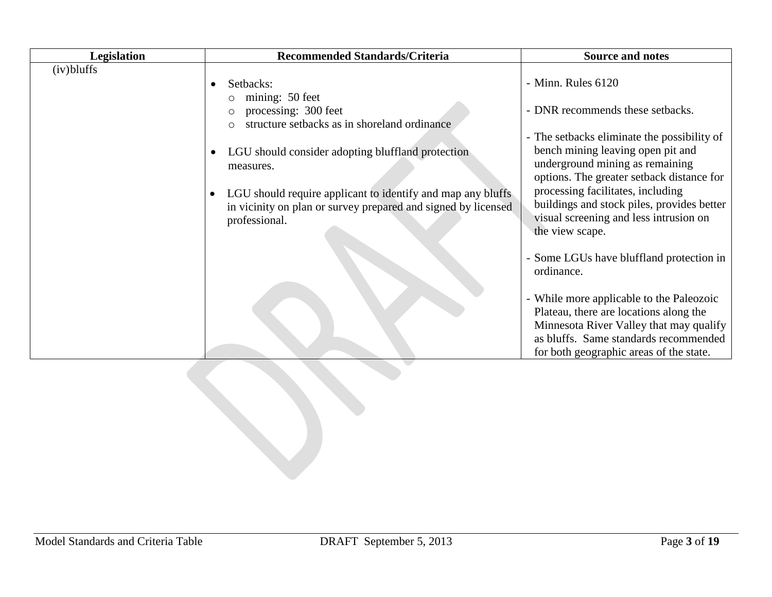| Legislation   | <b>Recommended Standards/Criteria</b>                                                                                                                                                                                             | <b>Source and notes</b>                                                                                                                                                                                                                                                                                          |
|---------------|-----------------------------------------------------------------------------------------------------------------------------------------------------------------------------------------------------------------------------------|------------------------------------------------------------------------------------------------------------------------------------------------------------------------------------------------------------------------------------------------------------------------------------------------------------------|
| $(iv)$ bluffs | Setbacks:<br>mining: 50 feet<br>$\circ$<br>processing: 300 feet<br>$\circ$<br>structure setbacks as in shoreland ordinance<br>$\circ$                                                                                             | - Minn. Rules 6120<br>- DNR recommends these setbacks.                                                                                                                                                                                                                                                           |
|               | LGU should consider adopting bluffland protection<br>٠<br>measures.<br>LGU should require applicant to identify and map any bluffs<br>$\bullet$<br>in vicinity on plan or survey prepared and signed by licensed<br>professional. | - The setbacks eliminate the possibility of<br>bench mining leaving open pit and<br>underground mining as remaining<br>options. The greater setback distance for<br>processing facilitates, including<br>buildings and stock piles, provides better<br>visual screening and less intrusion on<br>the view scape. |
|               |                                                                                                                                                                                                                                   | - Some LGUs have bluffland protection in<br>ordinance.<br>- While more applicable to the Paleozoic<br>Plateau, there are locations along the<br>Minnesota River Valley that may qualify<br>as bluffs. Same standards recommended<br>for both geographic areas of the state.                                      |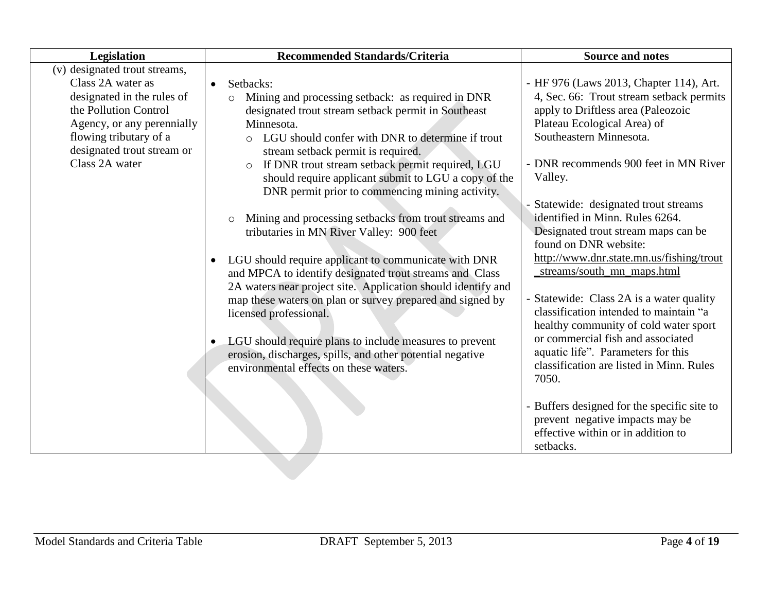| (v) designated trout streams,<br>Class 2A water as<br>- HF 976 (Laws 2013, Chapter 114), Art.<br>Setbacks:<br>$\bullet$<br>designated in the rules of<br>Mining and processing setback: as required in DNR<br>$\circ$<br>the Pollution Control<br>apply to Driftless area (Paleozoic<br>designated trout stream setback permit in Southeast<br>Plateau Ecological Area) of<br>Agency, or any perennially<br>Minnesota.<br>Southeastern Minnesota.<br>flowing tributary of a<br>LGU should confer with DNR to determine if trout<br>$\circ$                                                                                                                                                                                                                                                                                                                                                                                                                                                                                                                                                                                                                                                             | Legislation                | <b>Recommended Standards/Criteria</b> | <b>Source and notes</b>                                                                                                                                                                                                                                            |
|--------------------------------------------------------------------------------------------------------------------------------------------------------------------------------------------------------------------------------------------------------------------------------------------------------------------------------------------------------------------------------------------------------------------------------------------------------------------------------------------------------------------------------------------------------------------------------------------------------------------------------------------------------------------------------------------------------------------------------------------------------------------------------------------------------------------------------------------------------------------------------------------------------------------------------------------------------------------------------------------------------------------------------------------------------------------------------------------------------------------------------------------------------------------------------------------------------|----------------------------|---------------------------------------|--------------------------------------------------------------------------------------------------------------------------------------------------------------------------------------------------------------------------------------------------------------------|
| Class 2A water<br>If DNR trout stream setback permit required, LGU<br>$\circ$<br>should require applicant submit to LGU a copy of the<br>Valley.<br>DNR permit prior to commencing mining activity.<br>Statewide: designated trout streams<br>identified in Minn. Rules 6264.<br>Mining and processing setbacks from trout streams and<br>$\circ$<br>tributaries in MN River Valley: 900 feet<br>Designated trout stream maps can be<br>found on DNR website:<br>LGU should require applicant to communicate with DNR<br>streams/south_mn_maps.html<br>and MPCA to identify designated trout streams and Class<br>2A waters near project site. Application should identify and<br>- Statewide: Class 2A is a water quality<br>map these waters on plan or survey prepared and signed by<br>classification intended to maintain "a<br>licensed professional.<br>healthy community of cold water sport<br>or commercial fish and associated<br>LGU should require plans to include measures to prevent<br>aquatic life". Parameters for this<br>erosion, discharges, spills, and other potential negative<br>classification are listed in Minn. Rules<br>environmental effects on these waters.<br>7050. | designated trout stream or | stream setback permit is required.    | 4, Sec. 66: Trout stream setback permits<br>- DNR recommends 900 feet in MN River<br>http://www.dnr.state.mn.us/fishing/trout<br>- Buffers designed for the specific site to<br>prevent negative impacts may be<br>effective within or in addition to<br>setbacks. |
|                                                                                                                                                                                                                                                                                                                                                                                                                                                                                                                                                                                                                                                                                                                                                                                                                                                                                                                                                                                                                                                                                                                                                                                                        |                            |                                       |                                                                                                                                                                                                                                                                    |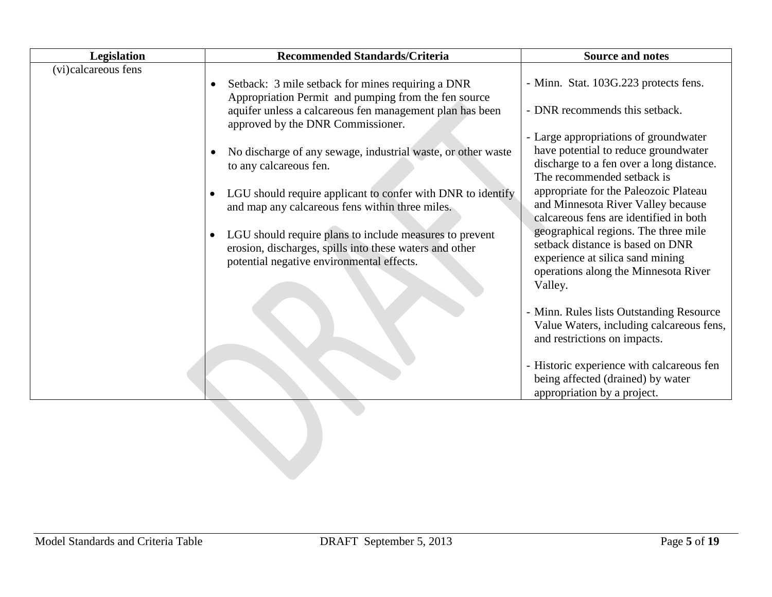| Legislation         | <b>Recommended Standards/Criteria</b>                                                                                           | <b>Source and notes</b>                                                      |
|---------------------|---------------------------------------------------------------------------------------------------------------------------------|------------------------------------------------------------------------------|
| (vi)calcareous fens |                                                                                                                                 |                                                                              |
|                     | Setback: 3 mile setback for mines requiring a DNR<br>$\bullet$                                                                  | - Minn. Stat. 103G.223 protects fens.                                        |
|                     | Appropriation Permit and pumping from the fen source                                                                            |                                                                              |
|                     | aquifer unless a calcareous fen management plan has been<br>approved by the DNR Commissioner.                                   | - DNR recommends this setback.                                               |
|                     |                                                                                                                                 | - Large appropriations of groundwater                                        |
|                     | No discharge of any sewage, industrial waste, or other waste<br>$\bullet$                                                       | have potential to reduce groundwater                                         |
|                     | to any calcareous fen.                                                                                                          | discharge to a fen over a long distance.                                     |
|                     |                                                                                                                                 | The recommended setback is                                                   |
|                     | LGU should require applicant to confer with DNR to identify<br>$\bullet$                                                        | appropriate for the Paleozoic Plateau                                        |
|                     | and map any calcareous fens within three miles.                                                                                 | and Minnesota River Valley because<br>calcareous fens are identified in both |
|                     |                                                                                                                                 | geographical regions. The three mile                                         |
|                     | LGU should require plans to include measures to prevent<br>$\bullet$<br>erosion, discharges, spills into these waters and other | setback distance is based on DNR                                             |
|                     | potential negative environmental effects.                                                                                       | experience at silica sand mining                                             |
|                     |                                                                                                                                 | operations along the Minnesota River                                         |
|                     |                                                                                                                                 | Valley.                                                                      |
|                     |                                                                                                                                 |                                                                              |
|                     |                                                                                                                                 | - Minn. Rules lists Outstanding Resource                                     |
|                     |                                                                                                                                 | Value Waters, including calcareous fens,<br>and restrictions on impacts.     |
|                     |                                                                                                                                 | - Historic experience with calcareous fen                                    |
|                     |                                                                                                                                 | being affected (drained) by water                                            |
|                     |                                                                                                                                 | appropriation by a project.                                                  |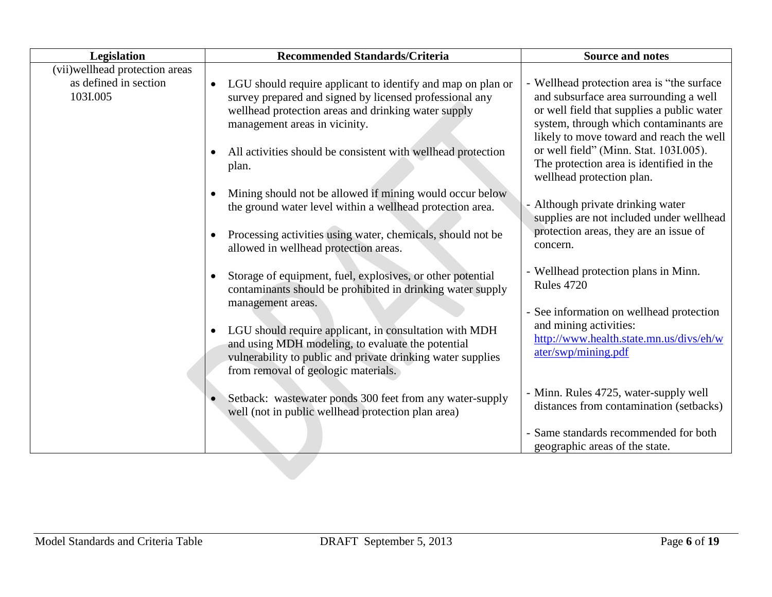| Legislation                                                           | <b>Recommended Standards/Criteria</b>                                                                                                                                                                                                                                                                                                                                           | <b>Source and notes</b>                                                                                                                                                                                                                                                                                                                     |
|-----------------------------------------------------------------------|---------------------------------------------------------------------------------------------------------------------------------------------------------------------------------------------------------------------------------------------------------------------------------------------------------------------------------------------------------------------------------|---------------------------------------------------------------------------------------------------------------------------------------------------------------------------------------------------------------------------------------------------------------------------------------------------------------------------------------------|
| (vii) well head protection areas<br>as defined in section<br>103I.005 | LGU should require applicant to identify and map on plan or<br>$\bullet$<br>survey prepared and signed by licensed professional any<br>wellhead protection areas and drinking water supply<br>management areas in vicinity.<br>All activities should be consistent with wellhead protection<br>plan.                                                                            | - Wellhead protection area is "the surface<br>and subsurface area surrounding a well<br>or well field that supplies a public water<br>system, through which contaminants are<br>likely to move toward and reach the well<br>or well field" (Minn. Stat. 103I.005).<br>The protection area is identified in the<br>wellhead protection plan. |
|                                                                       | Mining should not be allowed if mining would occur below<br>$\bullet$<br>the ground water level within a wellhead protection area.<br>Processing activities using water, chemicals, should not be<br>allowed in wellhead protection areas.                                                                                                                                      | - Although private drinking water<br>supplies are not included under wellhead<br>protection areas, they are an issue of<br>concern.                                                                                                                                                                                                         |
|                                                                       | Storage of equipment, fuel, explosives, or other potential<br>$\bullet$<br>contaminants should be prohibited in drinking water supply<br>management areas.<br>LGU should require applicant, in consultation with MDH<br>and using MDH modeling, to evaluate the potential<br>vulnerability to public and private drinking water supplies<br>from removal of geologic materials. | - Wellhead protection plans in Minn.<br><b>Rules 4720</b><br>- See information on wellhead protection<br>and mining activities:<br>http://www.health.state.mn.us/divs/eh/w<br>ater/swp/mining.pdf                                                                                                                                           |
|                                                                       | Setback: wastewater ponds 300 feet from any water-supply<br>well (not in public wellhead protection plan area)                                                                                                                                                                                                                                                                  | - Minn. Rules 4725, water-supply well<br>distances from contamination (setbacks)<br>- Same standards recommended for both<br>geographic areas of the state.                                                                                                                                                                                 |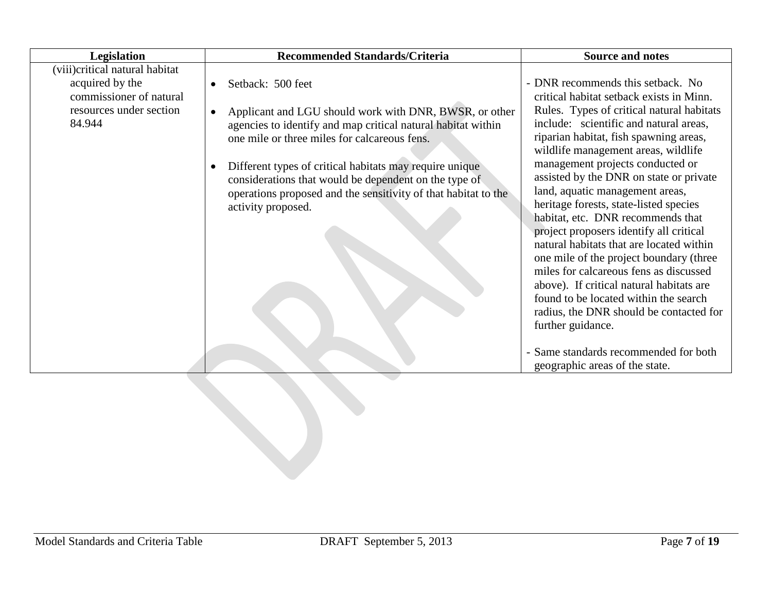| Legislation                                                                                                       | <b>Recommended Standards/Criteria</b>                                                                                                                                                                                                                                                                                                                                                                                                          | <b>Source and notes</b>                                                                                                                                                                                                                                                                                                                                                                                                                                                                                                                                                                                                                                                                                                                                            |
|-------------------------------------------------------------------------------------------------------------------|------------------------------------------------------------------------------------------------------------------------------------------------------------------------------------------------------------------------------------------------------------------------------------------------------------------------------------------------------------------------------------------------------------------------------------------------|--------------------------------------------------------------------------------------------------------------------------------------------------------------------------------------------------------------------------------------------------------------------------------------------------------------------------------------------------------------------------------------------------------------------------------------------------------------------------------------------------------------------------------------------------------------------------------------------------------------------------------------------------------------------------------------------------------------------------------------------------------------------|
| (viii)critical natural habitat<br>acquired by the<br>commissioner of natural<br>resources under section<br>84.944 | Setback: 500 feet<br>$\bullet$<br>Applicant and LGU should work with DNR, BWSR, or other<br>$\bullet$<br>agencies to identify and map critical natural habitat within<br>one mile or three miles for calcareous fens.<br>Different types of critical habitats may require unique<br>$\bullet$<br>considerations that would be dependent on the type of<br>operations proposed and the sensitivity of that habitat to the<br>activity proposed. | - DNR recommends this setback. No<br>critical habitat setback exists in Minn.<br>Rules. Types of critical natural habitats<br>include: scientific and natural areas,<br>riparian habitat, fish spawning areas,<br>wildlife management areas, wildlife<br>management projects conducted or<br>assisted by the DNR on state or private<br>land, aquatic management areas,<br>heritage forests, state-listed species<br>habitat, etc. DNR recommends that<br>project proposers identify all critical<br>natural habitats that are located within<br>one mile of the project boundary (three<br>miles for calcareous fens as discussed<br>above). If critical natural habitats are<br>found to be located within the search<br>radius, the DNR should be contacted for |
|                                                                                                                   |                                                                                                                                                                                                                                                                                                                                                                                                                                                | further guidance.<br>- Same standards recommended for both<br>geographic areas of the state.                                                                                                                                                                                                                                                                                                                                                                                                                                                                                                                                                                                                                                                                       |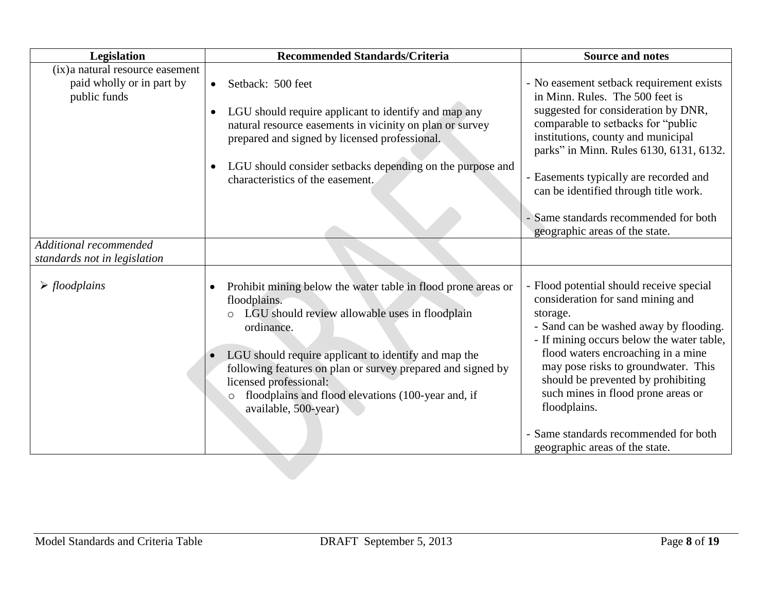| Legislation                                                                   | <b>Recommended Standards/Criteria</b>                                                                                                                                                                                                                                                                                                                                                   | <b>Source and notes</b>                                                                                                                                                                                                                                                                                                                                                                                                              |
|-------------------------------------------------------------------------------|-----------------------------------------------------------------------------------------------------------------------------------------------------------------------------------------------------------------------------------------------------------------------------------------------------------------------------------------------------------------------------------------|--------------------------------------------------------------------------------------------------------------------------------------------------------------------------------------------------------------------------------------------------------------------------------------------------------------------------------------------------------------------------------------------------------------------------------------|
| (ix) a natural resource easement<br>paid wholly or in part by<br>public funds | Setback: 500 feet<br>$\bullet$<br>LGU should require applicant to identify and map any<br>$\bullet$<br>natural resource easements in vicinity on plan or survey<br>prepared and signed by licensed professional.<br>LGU should consider setbacks depending on the purpose and<br>$\bullet$<br>characteristics of the easement.                                                          | - No easement setback requirement exists<br>in Minn. Rules. The 500 feet is<br>suggested for consideration by DNR,<br>comparable to setbacks for "public<br>institutions, county and municipal<br>parks" in Minn. Rules 6130, 6131, 6132.<br>- Easements typically are recorded and<br>can be identified through title work.<br>Same standards recommended for both                                                                  |
| Additional recommended                                                        |                                                                                                                                                                                                                                                                                                                                                                                         | geographic areas of the state.                                                                                                                                                                                                                                                                                                                                                                                                       |
| standards not in legislation                                                  |                                                                                                                                                                                                                                                                                                                                                                                         |                                                                                                                                                                                                                                                                                                                                                                                                                                      |
| $\triangleright$ floodplains                                                  | Prohibit mining below the water table in flood prone areas or<br>floodplains.<br>LGU should review allowable uses in floodplain<br>ordinance.<br>LGU should require applicant to identify and map the<br>following features on plan or survey prepared and signed by<br>licensed professional:<br>floodplains and flood elevations (100-year and, if<br>$\circ$<br>available, 500-year) | - Flood potential should receive special<br>consideration for sand mining and<br>storage.<br>- Sand can be washed away by flooding.<br>- If mining occurs below the water table,<br>flood waters encroaching in a mine<br>may pose risks to groundwater. This<br>should be prevented by prohibiting<br>such mines in flood prone areas or<br>floodplains.<br>- Same standards recommended for both<br>geographic areas of the state. |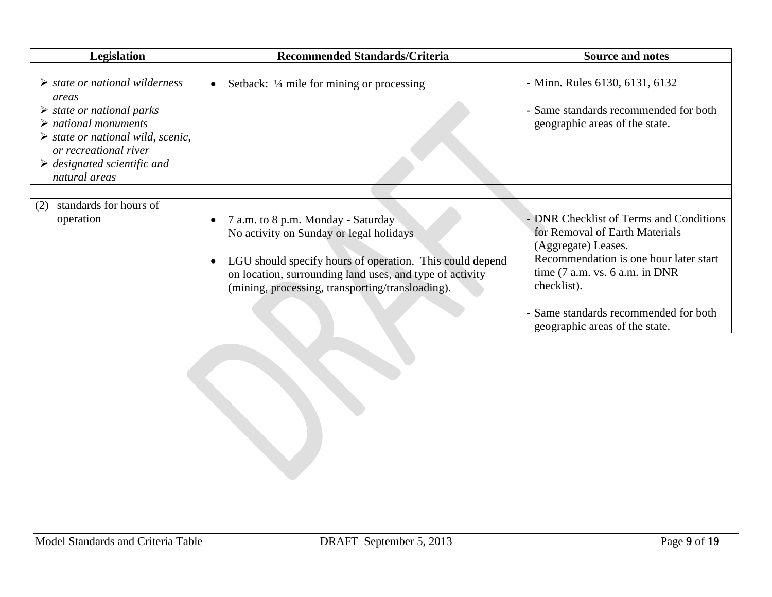| <b>Legislation</b>                                                                                                                                                                                                                                                                    | <b>Recommended Standards/Criteria</b>                                                                                                                                                                                                                                  | <b>Source and notes</b>                                                                                                                                                                        |
|---------------------------------------------------------------------------------------------------------------------------------------------------------------------------------------------------------------------------------------------------------------------------------------|------------------------------------------------------------------------------------------------------------------------------------------------------------------------------------------------------------------------------------------------------------------------|------------------------------------------------------------------------------------------------------------------------------------------------------------------------------------------------|
| $\triangleright$ state or national wilderness<br>areas<br>$\triangleright$ state or national parks<br>$\triangleright$ national monuments<br>$\triangleright$ state or national wild, scenic,<br>or recreational river<br>$\triangleright$ designated scientific and<br>natural areas | Setback: $\frac{1}{4}$ mile for mining or processing                                                                                                                                                                                                                   | - Minn. Rules 6130, 6131, 6132<br>- Same standards recommended for both<br>geographic areas of the state.                                                                                      |
|                                                                                                                                                                                                                                                                                       |                                                                                                                                                                                                                                                                        |                                                                                                                                                                                                |
| standards for hours of<br>(2)<br>operation                                                                                                                                                                                                                                            | 7 a.m. to 8 p.m. Monday - Saturday<br>No activity on Sunday or legal holidays<br>LGU should specify hours of operation. This could depend<br>$\bullet$<br>on location, surrounding land uses, and type of activity<br>(mining, processing, transporting/transloading). | - DNR Checklist of Terms and Conditions<br>for Removal of Earth Materials<br>(Aggregate) Leases.<br>Recommendation is one hour later start<br>time $(7 a.m. vs. 6 a.m. in DNR)$<br>checklist). |
|                                                                                                                                                                                                                                                                                       |                                                                                                                                                                                                                                                                        | - Same standards recommended for both<br>geographic areas of the state.                                                                                                                        |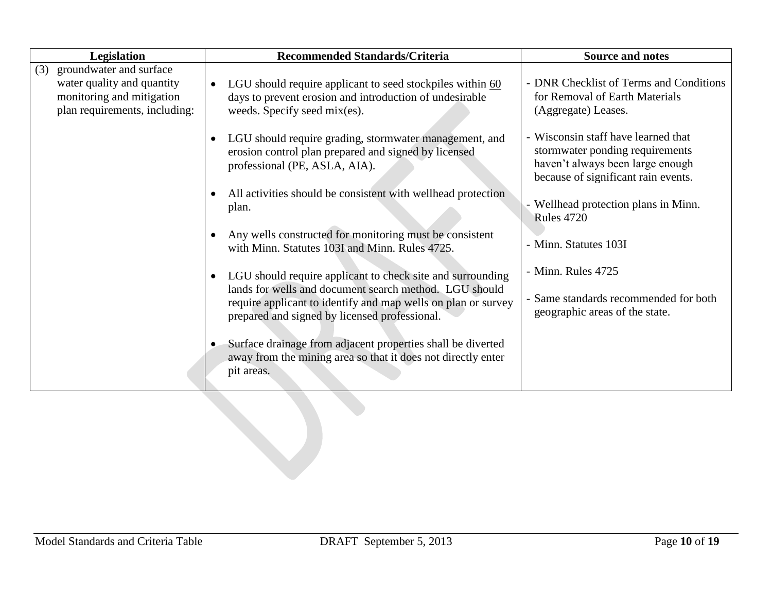| Legislation                                                                                                                | <b>Recommended Standards/Criteria</b>                                                                                                                                                                                                               | <b>Source and notes</b>                                                                                                                           |
|----------------------------------------------------------------------------------------------------------------------------|-----------------------------------------------------------------------------------------------------------------------------------------------------------------------------------------------------------------------------------------------------|---------------------------------------------------------------------------------------------------------------------------------------------------|
| groundwater and surface<br>(3)<br>water quality and quantity<br>monitoring and mitigation<br>plan requirements, including: | LGU should require applicant to seed stockpiles within 60<br>$\bullet$<br>days to prevent erosion and introduction of undesirable<br>weeds. Specify seed mix(es).                                                                                   | - DNR Checklist of Terms and Conditions<br>for Removal of Earth Materials<br>(Aggregate) Leases.                                                  |
|                                                                                                                            | LGU should require grading, stormwater management, and<br>$\bullet$<br>erosion control plan prepared and signed by licensed<br>professional (PE, ASLA, AIA).                                                                                        | - Wisconsin staff have learned that<br>stormwater ponding requirements<br>haven't always been large enough<br>because of significant rain events. |
|                                                                                                                            | All activities should be consistent with wellhead protection<br>$\bullet$<br>plan.                                                                                                                                                                  | - Wellhead protection plans in Minn.<br><b>Rules 4720</b>                                                                                         |
|                                                                                                                            | Any wells constructed for monitoring must be consistent<br>$\bullet$<br>with Minn. Statutes 103I and Minn. Rules 4725.                                                                                                                              | - Minn. Statutes 103I                                                                                                                             |
|                                                                                                                            | LGU should require applicant to check site and surrounding<br>$\bullet$<br>lands for wells and document search method. LGU should<br>require applicant to identify and map wells on plan or survey<br>prepared and signed by licensed professional. | - Minn. Rules 4725<br>- Same standards recommended for both<br>geographic areas of the state.                                                     |
|                                                                                                                            | Surface drainage from adjacent properties shall be diverted<br>$\bullet$<br>away from the mining area so that it does not directly enter<br>pit areas.                                                                                              |                                                                                                                                                   |
|                                                                                                                            |                                                                                                                                                                                                                                                     |                                                                                                                                                   |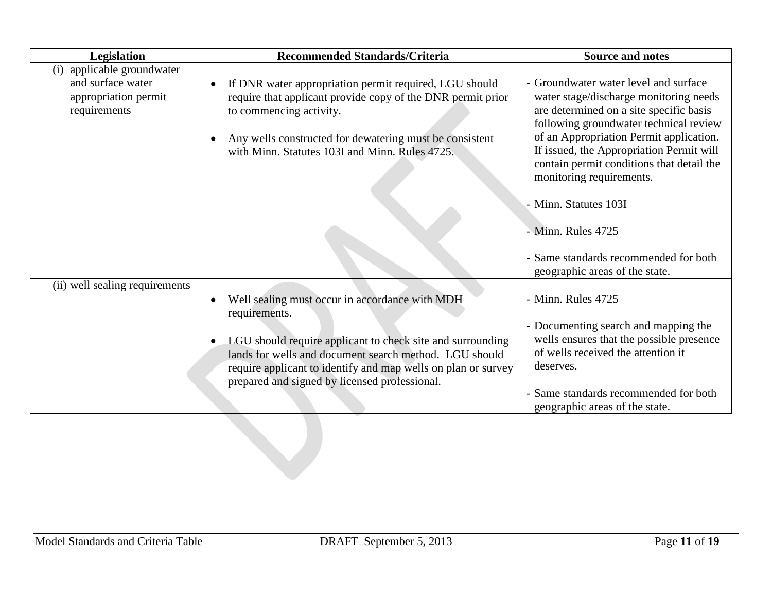| Legislation                                                                                | <b>Recommended Standards/Criteria</b>                                                                                                                                                                                                                                      | <b>Source and notes</b>                                                                                                                                                                                                                                                                                                              |
|--------------------------------------------------------------------------------------------|----------------------------------------------------------------------------------------------------------------------------------------------------------------------------------------------------------------------------------------------------------------------------|--------------------------------------------------------------------------------------------------------------------------------------------------------------------------------------------------------------------------------------------------------------------------------------------------------------------------------------|
| applicable groundwater<br>(i)<br>and surface water<br>appropriation permit<br>requirements | If DNR water appropriation permit required, LGU should<br>$\bullet$<br>require that applicant provide copy of the DNR permit prior<br>to commencing activity.<br>Any wells constructed for dewatering must be consistent<br>with Minn. Statutes 103I and Minn. Rules 4725. | - Groundwater water level and surface<br>water stage/discharge monitoring needs<br>are determined on a site specific basis<br>following groundwater technical review<br>of an Appropriation Permit application.<br>If issued, the Appropriation Permit will<br>contain permit conditions that detail the<br>monitoring requirements. |
|                                                                                            |                                                                                                                                                                                                                                                                            | - Minn. Statutes 103I<br>- Minn. Rules 4725                                                                                                                                                                                                                                                                                          |
|                                                                                            |                                                                                                                                                                                                                                                                            | - Same standards recommended for both<br>geographic areas of the state.                                                                                                                                                                                                                                                              |
| (ii) well sealing requirements                                                             | Well sealing must occur in accordance with MDH<br>requirements.                                                                                                                                                                                                            | - Minn. Rules 4725                                                                                                                                                                                                                                                                                                                   |
|                                                                                            | LGU should require applicant to check site and surrounding<br>lands for wells and document search method. LGU should<br>require applicant to identify and map wells on plan or survey<br>prepared and signed by licensed professional.                                     | - Documenting search and mapping the<br>wells ensures that the possible presence<br>of wells received the attention it<br>deserves.                                                                                                                                                                                                  |
|                                                                                            |                                                                                                                                                                                                                                                                            | - Same standards recommended for both<br>geographic areas of the state.                                                                                                                                                                                                                                                              |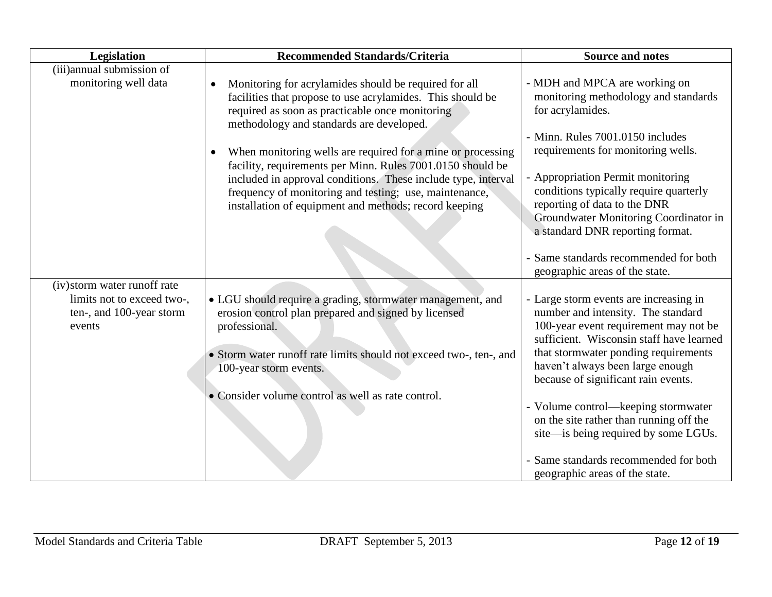| Legislation                                                                                      | <b>Recommended Standards/Criteria</b>                                                                                                                                                                                                                                                                                                                                  | <b>Source and notes</b>                                                                                                                                                                                                                                                              |
|--------------------------------------------------------------------------------------------------|------------------------------------------------------------------------------------------------------------------------------------------------------------------------------------------------------------------------------------------------------------------------------------------------------------------------------------------------------------------------|--------------------------------------------------------------------------------------------------------------------------------------------------------------------------------------------------------------------------------------------------------------------------------------|
| (iii)annual submission of<br>monitoring well data                                                | Monitoring for acrylamides should be required for all<br>$\bullet$<br>facilities that propose to use acrylamides. This should be<br>required as soon as practicable once monitoring                                                                                                                                                                                    | - MDH and MPCA are working on<br>monitoring methodology and standards<br>for acrylamides.                                                                                                                                                                                            |
|                                                                                                  | methodology and standards are developed.<br>When monitoring wells are required for a mine or processing<br>$\bullet$<br>facility, requirements per Minn. Rules 7001.0150 should be<br>included in approval conditions. These include type, interval<br>frequency of monitoring and testing; use, maintenance,<br>installation of equipment and methods; record keeping | - Minn. Rules 7001.0150 includes<br>requirements for monitoring wells.<br>- Appropriation Permit monitoring<br>conditions typically require quarterly<br>reporting of data to the DNR<br>Groundwater Monitoring Coordinator in                                                       |
|                                                                                                  |                                                                                                                                                                                                                                                                                                                                                                        | a standard DNR reporting format.<br>- Same standards recommended for both<br>geographic areas of the state.                                                                                                                                                                          |
| (iv) storm water runoff rate<br>limits not to exceed two-,<br>ten-, and 100-year storm<br>events | • LGU should require a grading, stormwater management, and<br>erosion control plan prepared and signed by licensed<br>professional.<br>• Storm water runoff rate limits should not exceed two-, ten-, and<br>100-year storm events.                                                                                                                                    | - Large storm events are increasing in<br>number and intensity. The standard<br>100-year event requirement may not be<br>sufficient. Wisconsin staff have learned<br>that stormwater ponding requirements<br>haven't always been large enough<br>because of significant rain events. |
|                                                                                                  | • Consider volume control as well as rate control.                                                                                                                                                                                                                                                                                                                     | - Volume control—keeping stormwater<br>on the site rather than running off the<br>site—is being required by some LGUs.<br>Same standards recommended for both<br>geographic areas of the state.                                                                                      |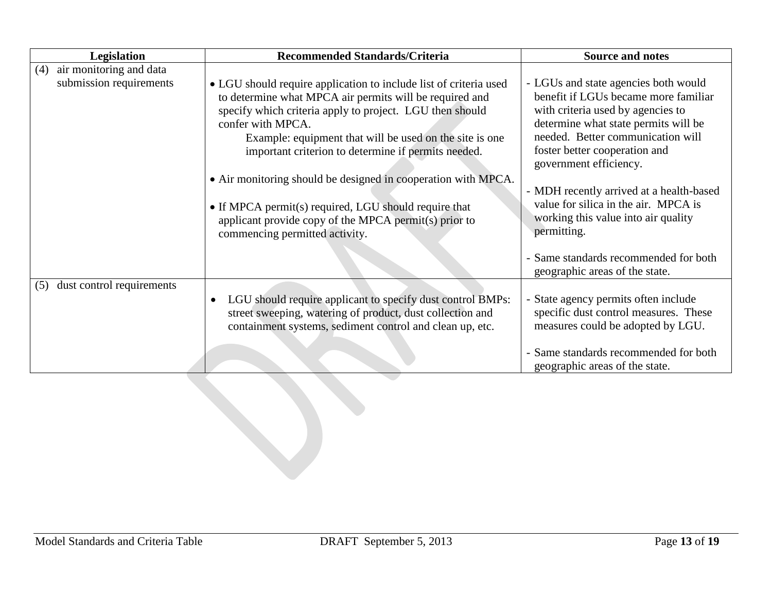| Legislation                      | <b>Recommended Standards/Criteria</b>                                                                                                                                                                                                                                                                                                                                                                                                                                                                                                                | <b>Source and notes</b>                                                                                                                                                                                                                                                                                                                                                                             |
|----------------------------------|------------------------------------------------------------------------------------------------------------------------------------------------------------------------------------------------------------------------------------------------------------------------------------------------------------------------------------------------------------------------------------------------------------------------------------------------------------------------------------------------------------------------------------------------------|-----------------------------------------------------------------------------------------------------------------------------------------------------------------------------------------------------------------------------------------------------------------------------------------------------------------------------------------------------------------------------------------------------|
| air monitoring and data<br>(4)   |                                                                                                                                                                                                                                                                                                                                                                                                                                                                                                                                                      |                                                                                                                                                                                                                                                                                                                                                                                                     |
| submission requirements          | • LGU should require application to include list of criteria used<br>to determine what MPCA air permits will be required and<br>specify which criteria apply to project. LGU then should<br>confer with MPCA.<br>Example: equipment that will be used on the site is one<br>important criterion to determine if permits needed.<br>• Air monitoring should be designed in cooperation with MPCA.<br>• If MPCA permit(s) required, LGU should require that<br>applicant provide copy of the MPCA permit(s) prior to<br>commencing permitted activity. | - LGUs and state agencies both would<br>benefit if LGUs became more familiar<br>with criteria used by agencies to<br>determine what state permits will be<br>needed. Better communication will<br>foster better cooperation and<br>government efficiency.<br>- MDH recently arrived at a health-based<br>value for silica in the air. MPCA is<br>working this value into air quality<br>permitting. |
|                                  |                                                                                                                                                                                                                                                                                                                                                                                                                                                                                                                                                      | - Same standards recommended for both<br>geographic areas of the state.                                                                                                                                                                                                                                                                                                                             |
| dust control requirements<br>(5) | LGU should require applicant to specify dust control BMPs:<br>$\bullet$<br>street sweeping, watering of product, dust collection and<br>containment systems, sediment control and clean up, etc.                                                                                                                                                                                                                                                                                                                                                     | - State agency permits often include<br>specific dust control measures. These<br>measures could be adopted by LGU.<br>- Same standards recommended for both<br>geographic areas of the state.                                                                                                                                                                                                       |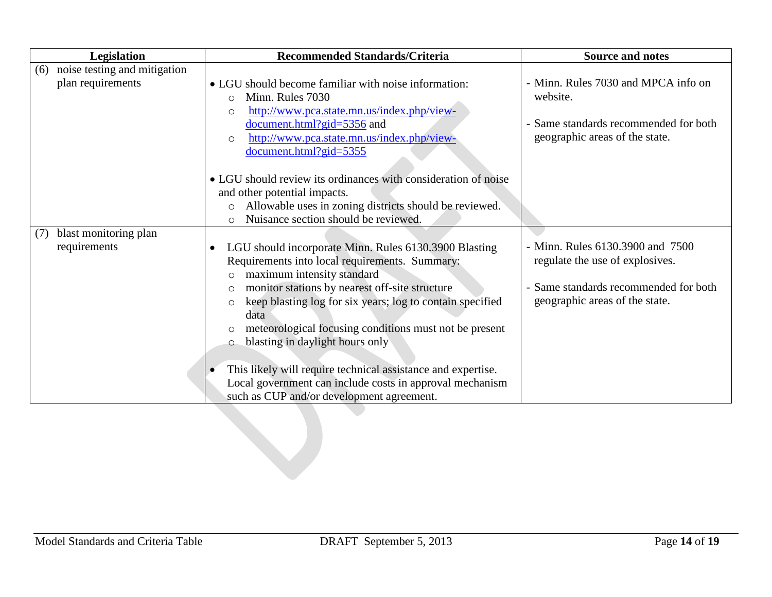| Legislation                         | <b>Recommended Standards/Criteria</b>                                                                                                                                                                                                                                                                                                                                                                                                                                                                      | <b>Source and notes</b>                                                                                                                        |
|-------------------------------------|------------------------------------------------------------------------------------------------------------------------------------------------------------------------------------------------------------------------------------------------------------------------------------------------------------------------------------------------------------------------------------------------------------------------------------------------------------------------------------------------------------|------------------------------------------------------------------------------------------------------------------------------------------------|
| noise testing and mitigation<br>(6) |                                                                                                                                                                                                                                                                                                                                                                                                                                                                                                            |                                                                                                                                                |
| plan requirements                   | • LGU should become familiar with noise information:<br>Minn. Rules 7030<br>$\circ$<br>http://www.pca.state.mn.us/index.php/view-<br>$\circ$                                                                                                                                                                                                                                                                                                                                                               | - Minn. Rules 7030 and MPCA info on<br>website.                                                                                                |
|                                     | document.html?gid=5356 and<br>http://www.pca.state.mn.us/index.php/view-<br>$\circ$<br>document.html?gid=5355                                                                                                                                                                                                                                                                                                                                                                                              | - Same standards recommended for both<br>geographic areas of the state.                                                                        |
|                                     | • LGU should review its ordinances with consideration of noise                                                                                                                                                                                                                                                                                                                                                                                                                                             |                                                                                                                                                |
|                                     | and other potential impacts.<br>Allowable uses in zoning districts should be reviewed.<br>$\circ$                                                                                                                                                                                                                                                                                                                                                                                                          |                                                                                                                                                |
|                                     | Nuisance section should be reviewed.<br>$\circ$                                                                                                                                                                                                                                                                                                                                                                                                                                                            |                                                                                                                                                |
| blast monitoring plan<br>(7)        |                                                                                                                                                                                                                                                                                                                                                                                                                                                                                                            |                                                                                                                                                |
| requirements                        | LGU should incorporate Minn. Rules 6130.3900 Blasting<br>$\bullet$<br>Requirements into local requirements. Summary:<br>maximum intensity standard<br>$\circ$<br>monitor stations by nearest off-site structure<br>$\circ$<br>keep blasting log for six years; log to contain specified<br>$\circ$<br>data<br>meteorological focusing conditions must not be present<br>$\circ$<br>blasting in daylight hours only<br>$\circ$<br>This likely will require technical assistance and expertise.<br>$\bullet$ | - Minn. Rules 6130.3900 and 7500<br>regulate the use of explosives.<br>- Same standards recommended for both<br>geographic areas of the state. |
|                                     | Local government can include costs in approval mechanism                                                                                                                                                                                                                                                                                                                                                                                                                                                   |                                                                                                                                                |
|                                     | such as CUP and/or development agreement.                                                                                                                                                                                                                                                                                                                                                                                                                                                                  |                                                                                                                                                |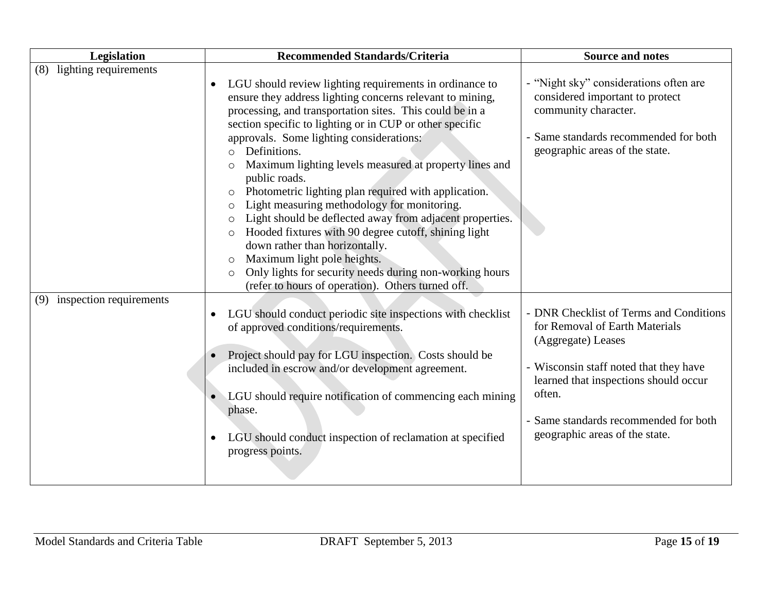| Legislation                                                    | <b>Recommended Standards/Criteria</b>                                                                                                                                                                                                                                                                                                                                                                                                                                                                                                                                                                                                                                                                                                                                                                                                                                                                                                                                                                                    | <b>Source and notes</b>                                                                                                                                                                                                                                                         |
|----------------------------------------------------------------|--------------------------------------------------------------------------------------------------------------------------------------------------------------------------------------------------------------------------------------------------------------------------------------------------------------------------------------------------------------------------------------------------------------------------------------------------------------------------------------------------------------------------------------------------------------------------------------------------------------------------------------------------------------------------------------------------------------------------------------------------------------------------------------------------------------------------------------------------------------------------------------------------------------------------------------------------------------------------------------------------------------------------|---------------------------------------------------------------------------------------------------------------------------------------------------------------------------------------------------------------------------------------------------------------------------------|
| lighting requirements<br>(8)<br>inspection requirements<br>(9) | LGU should review lighting requirements in ordinance to<br>$\bullet$<br>ensure they address lighting concerns relevant to mining,<br>processing, and transportation sites. This could be in a<br>section specific to lighting or in CUP or other specific<br>approvals. Some lighting considerations:<br>Definitions.<br>$\circ$<br>Maximum lighting levels measured at property lines and<br>$\circ$<br>public roads.<br>Photometric lighting plan required with application.<br>$\circ$<br>Light measuring methodology for monitoring.<br>$\circ$<br>Light should be deflected away from adjacent properties.<br>$\circ$<br>Hooded fixtures with 90 degree cutoff, shining light<br>$\circ$<br>down rather than horizontally.<br>Maximum light pole heights.<br>$\circ$<br>Only lights for security needs during non-working hours<br>$\circ$<br>(refer to hours of operation). Others turned off.<br>LGU should conduct periodic site inspections with checklist<br>$\bullet$<br>of approved conditions/requirements. | - "Night sky" considerations often are<br>considered important to protect<br>community character.<br>- Same standards recommended for both<br>geographic areas of the state.<br>- DNR Checklist of Terms and Conditions<br>for Removal of Earth Materials<br>(Aggregate) Leases |
|                                                                | Project should pay for LGU inspection. Costs should be<br>$\bullet$<br>included in escrow and/or development agreement.<br>LGU should require notification of commencing each mining<br>phase.<br>LGU should conduct inspection of reclamation at specified<br>$\bullet$<br>progress points.                                                                                                                                                                                                                                                                                                                                                                                                                                                                                                                                                                                                                                                                                                                             | - Wisconsin staff noted that they have<br>learned that inspections should occur<br>often.<br>- Same standards recommended for both<br>geographic areas of the state.                                                                                                            |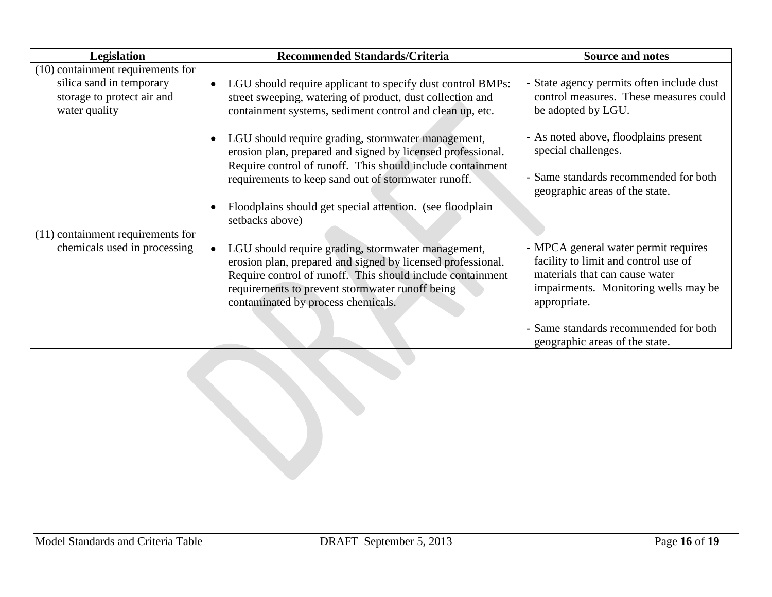| Legislation                                                                                                    | <b>Recommended Standards/Criteria</b>                                                                                                                                                                                                                                    | Source and notes                                                                                                                                                       |
|----------------------------------------------------------------------------------------------------------------|--------------------------------------------------------------------------------------------------------------------------------------------------------------------------------------------------------------------------------------------------------------------------|------------------------------------------------------------------------------------------------------------------------------------------------------------------------|
| $(10)$ containment requirements for<br>silica sand in temporary<br>storage to protect air and<br>water quality | LGU should require applicant to specify dust control BMPs:<br>$\bullet$<br>street sweeping, watering of product, dust collection and<br>containment systems, sediment control and clean up, etc.                                                                         | - State agency permits often include dust<br>control measures. These measures could<br>be adopted by LGU.                                                              |
|                                                                                                                | LGU should require grading, stormwater management,<br>$\bullet$<br>erosion plan, prepared and signed by licensed professional.<br>Require control of runoff. This should include containment<br>requirements to keep sand out of stormwater runoff.                      | - As noted above, floodplains present<br>special challenges.<br>- Same standards recommended for both<br>geographic areas of the state.                                |
|                                                                                                                | Floodplains should get special attention. (see floodplain<br>setbacks above)                                                                                                                                                                                             |                                                                                                                                                                        |
| (11) containment requirements for<br>chemicals used in processing                                              | LGU should require grading, stormwater management,<br>erosion plan, prepared and signed by licensed professional.<br>Require control of runoff. This should include containment<br>requirements to prevent stormwater runoff being<br>contaminated by process chemicals. | - MPCA general water permit requires<br>facility to limit and control use of<br>materials that can cause water<br>impairments. Monitoring wells may be<br>appropriate. |
|                                                                                                                |                                                                                                                                                                                                                                                                          | - Same standards recommended for both<br>geographic areas of the state.                                                                                                |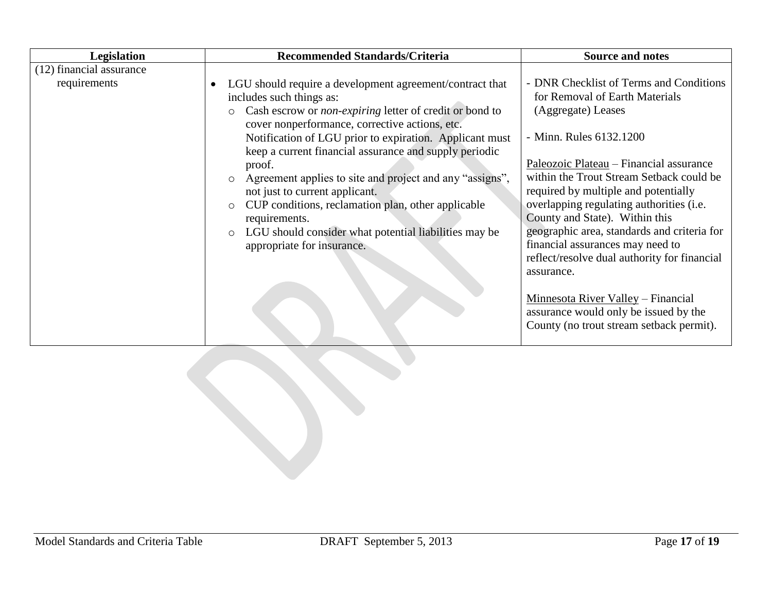| <b>Legislation</b>                       | <b>Recommended Standards/Criteria</b>                                                                                                                                                                                                                                                                                                                                                                                                                                                                                                                                                                                                           | <b>Source and notes</b>                                                                                                                                                                                                                                                                                                                                                                                                                                                                  |
|------------------------------------------|-------------------------------------------------------------------------------------------------------------------------------------------------------------------------------------------------------------------------------------------------------------------------------------------------------------------------------------------------------------------------------------------------------------------------------------------------------------------------------------------------------------------------------------------------------------------------------------------------------------------------------------------------|------------------------------------------------------------------------------------------------------------------------------------------------------------------------------------------------------------------------------------------------------------------------------------------------------------------------------------------------------------------------------------------------------------------------------------------------------------------------------------------|
| (12) financial assurance<br>requirements | LGU should require a development agreement/contract that<br>includes such things as:<br>Cash escrow or <i>non-expiring</i> letter of credit or bond to<br>$\circ$<br>cover nonperformance, corrective actions, etc.<br>Notification of LGU prior to expiration. Applicant must<br>keep a current financial assurance and supply periodic<br>proof.<br>Agreement applies to site and project and any "assigns",<br>$\circ$<br>not just to current applicant.<br>CUP conditions, reclamation plan, other applicable<br>$\circ$<br>requirements.<br>LGU should consider what potential liabilities may be<br>$\circ$<br>appropriate for insurance. | - DNR Checklist of Terms and Conditions<br>for Removal of Earth Materials<br>(Aggregate) Leases<br>- Minn. Rules 6132.1200<br>Paleozoic Plateau - Financial assurance<br>within the Trout Stream Setback could be<br>required by multiple and potentially<br>overlapping regulating authorities (i.e.<br>County and State). Within this<br>geographic area, standards and criteria for<br>financial assurances may need to<br>reflect/resolve dual authority for financial<br>assurance. |
|                                          |                                                                                                                                                                                                                                                                                                                                                                                                                                                                                                                                                                                                                                                 | Minnesota River Valley – Financial<br>assurance would only be issued by the<br>County (no trout stream setback permit).                                                                                                                                                                                                                                                                                                                                                                  |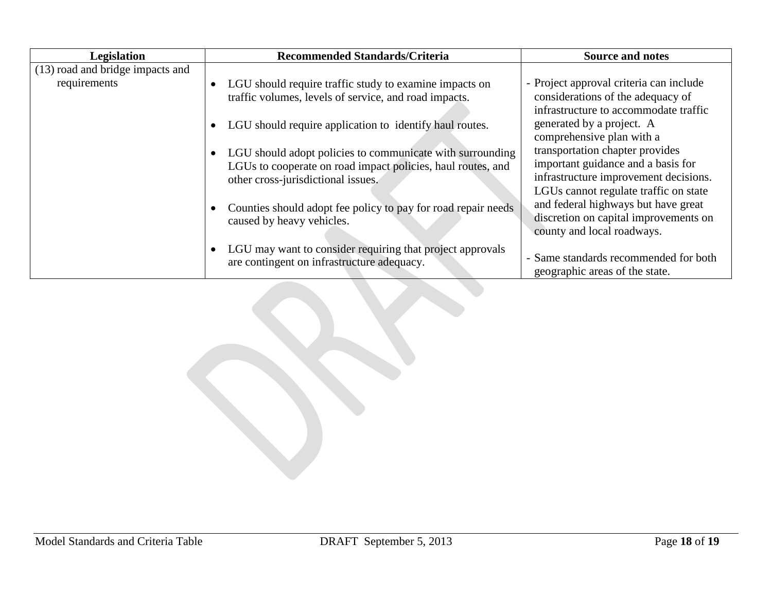| <b>Legislation</b>               | <b>Recommended Standards/Criteria</b>                                                                                                                          | <b>Source and notes</b>                                                                                                                                 |
|----------------------------------|----------------------------------------------------------------------------------------------------------------------------------------------------------------|---------------------------------------------------------------------------------------------------------------------------------------------------------|
| (13) road and bridge impacts and |                                                                                                                                                                |                                                                                                                                                         |
| requirements                     | LGU should require traffic study to examine impacts on<br>traffic volumes, levels of service, and road impacts.                                                | - Project approval criteria can include<br>considerations of the adequacy of<br>infrastructure to accommodate traffic                                   |
|                                  | LGU should require application to identify haul routes.                                                                                                        | generated by a project. A<br>comprehensive plan with a                                                                                                  |
|                                  | LGU should adopt policies to communicate with surrounding<br>LGUs to cooperate on road impact policies, haul routes, and<br>other cross-jurisdictional issues. | transportation chapter provides<br>important guidance and a basis for<br>infrastructure improvement decisions.<br>LGUs cannot regulate traffic on state |
|                                  | Counties should adopt fee policy to pay for road repair needs<br>caused by heavy vehicles.                                                                     | and federal highways but have great<br>discretion on capital improvements on<br>county and local roadways.                                              |
|                                  | LGU may want to consider requiring that project approvals<br>are contingent on infrastructure adequacy.                                                        | - Same standards recommended for both<br>geographic areas of the state.                                                                                 |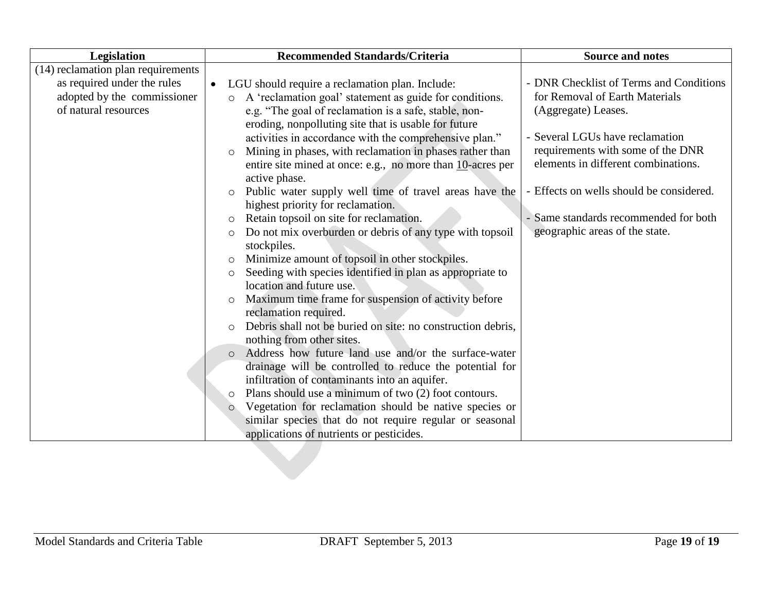| Legislation                        | Recommended Standards/Criteria                                         | <b>Source and notes</b>                  |
|------------------------------------|------------------------------------------------------------------------|------------------------------------------|
| (14) reclamation plan requirements |                                                                        |                                          |
| as required under the rules        | LGU should require a reclamation plan. Include:<br>$\bullet$           | - DNR Checklist of Terms and Conditions  |
| adopted by the commissioner        | A 'reclamation goal' statement as guide for conditions.<br>$\circ$     | for Removal of Earth Materials           |
| of natural resources               | e.g. "The goal of reclamation is a safe, stable, non-                  | (Aggregate) Leases.                      |
|                                    | eroding, nonpolluting site that is usable for future                   |                                          |
|                                    | activities in accordance with the comprehensive plan."                 | - Several LGUs have reclamation          |
|                                    | Mining in phases, with reclamation in phases rather than<br>$\circ$    | requirements with some of the DNR        |
|                                    | entire site mined at once: e.g., no more than $10$ -acres per          | elements in different combinations.      |
|                                    | active phase.                                                          |                                          |
|                                    | Public water supply well time of travel areas have the<br>$\circ$      | - Effects on wells should be considered. |
|                                    | highest priority for reclamation.                                      |                                          |
|                                    | Retain topsoil on site for reclamation.<br>$\circ$                     | - Same standards recommended for both    |
|                                    | Do not mix overburden or debris of any type with topsoil<br>$\circ$    | geographic areas of the state.           |
|                                    | stockpiles.                                                            |                                          |
|                                    | Minimize amount of topsoil in other stockpiles.<br>$\circ$             |                                          |
|                                    | Seeding with species identified in plan as appropriate to<br>$\circ$   |                                          |
|                                    | location and future use.                                               |                                          |
|                                    | Maximum time frame for suspension of activity before<br>$\circ$        |                                          |
|                                    | reclamation required.                                                  |                                          |
|                                    | Debris shall not be buried on site: no construction debris,<br>$\circ$ |                                          |
|                                    | nothing from other sites.                                              |                                          |
|                                    | Address how future land use and/or the surface-water<br>$\circ$        |                                          |
|                                    | drainage will be controlled to reduce the potential for                |                                          |
|                                    | infiltration of contaminants into an aquifer.                          |                                          |
|                                    | Plans should use a minimum of two (2) foot contours.<br>$\circ$        |                                          |
|                                    | Vegetation for reclamation should be native species or<br>$\circ$      |                                          |
|                                    | similar species that do not require regular or seasonal                |                                          |
|                                    | applications of nutrients or pesticides.                               |                                          |